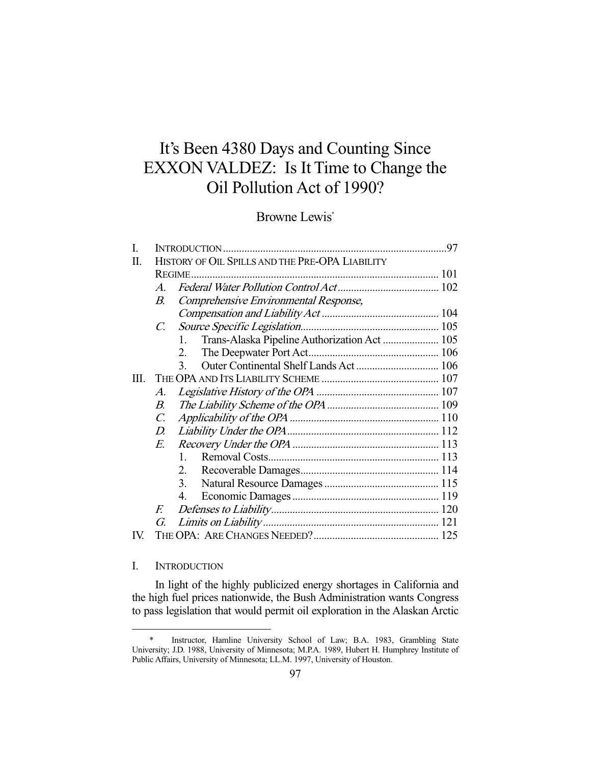# It's Been 4380 Days and Counting Since EXXON VALDEZ: Is It Time to Change the Oil Pollution Act of 1990?

## Browne Lewis\*

| I.  |                                                 |                                                    |  |
|-----|-------------------------------------------------|----------------------------------------------------|--|
| П.  | HISTORY OF OIL SPILLS AND THE PRE-OPA LIABILITY |                                                    |  |
|     |                                                 |                                                    |  |
|     | $\mathcal{A}_{\cdot}$                           |                                                    |  |
|     | $B_{\cdot}$                                     | Comprehensive Environmental Response,              |  |
|     |                                                 |                                                    |  |
|     | $\mathcal{C}$ .                                 |                                                    |  |
|     |                                                 | Trans-Alaska Pipeline Authorization Act  105<br>1. |  |
|     |                                                 | 2.                                                 |  |
|     |                                                 | $\mathcal{E}$                                      |  |
| Ш.  |                                                 |                                                    |  |
|     | $\mathcal{A}$ .                                 |                                                    |  |
|     | $B_{\cdot}$                                     |                                                    |  |
|     | $\mathcal{C}$ .                                 |                                                    |  |
|     | D.                                              |                                                    |  |
|     | E.                                              |                                                    |  |
|     |                                                 | $\mathbf{1}$                                       |  |
|     |                                                 | 2.                                                 |  |
|     |                                                 | $\overline{3}$ .                                   |  |
|     |                                                 | 4.                                                 |  |
|     | F.                                              |                                                    |  |
|     | G.                                              |                                                    |  |
| IV. |                                                 |                                                    |  |

## I. INTRODUCTION

-

 In light of the highly publicized energy shortages in California and the high fuel prices nationwide, the Bush Administration wants Congress to pass legislation that would permit oil exploration in the Alaskan Arctic

 <sup>\*</sup> Instructor, Hamline University School of Law; B.A. 1983, Grambling State University; J.D. 1988, University of Minnesota; M.P.A. 1989, Hubert H. Humphrey Institute of Public Affairs, University of Minnesota; LL.M. 1997, University of Houston.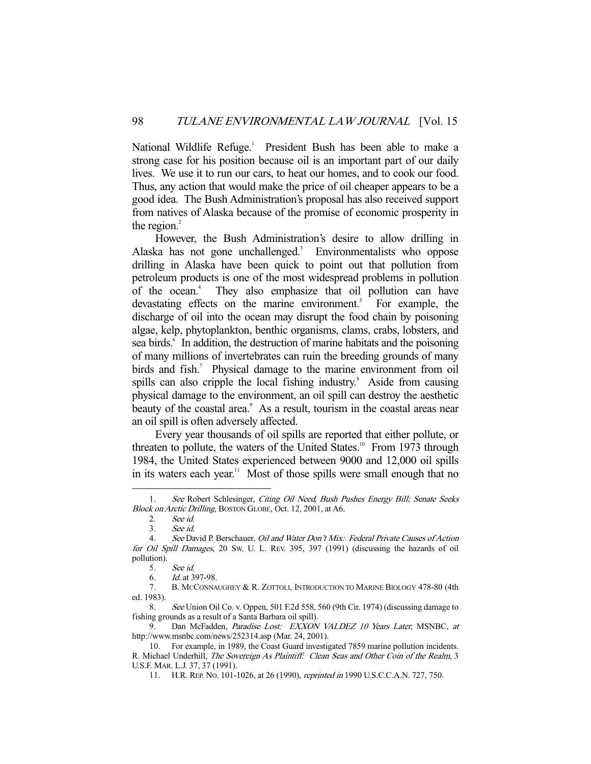National Wildlife Refuge.<sup>1</sup> President Bush has been able to make a strong case for his position because oil is an important part of our daily lives. We use it to run our cars, to heat our homes, and to cook our food. Thus, any action that would make the price of oil cheaper appears to be a good idea. The Bush Administration's proposal has also received support from natives of Alaska because of the promise of economic prosperity in the region. $2$ 

 However, the Bush Administration's desire to allow drilling in Alaska has not gone unchallenged.<sup>3</sup> Environmentalists who oppose drilling in Alaska have been quick to point out that pollution from petroleum products is one of the most widespread problems in pollution of the ocean.<sup>4</sup> They also emphasize that oil pollution can have devastating effects on the marine environment.<sup>5</sup> For example, the discharge of oil into the ocean may disrupt the food chain by poisoning algae, kelp, phytoplankton, benthic organisms, clams, crabs, lobsters, and sea birds.<sup>6</sup> In addition, the destruction of marine habitats and the poisoning of many millions of invertebrates can ruin the breeding grounds of many birds and fish.<sup>7</sup> Physical damage to the marine environment from oil spills can also cripple the local fishing industry.<sup>8</sup> Aside from causing physical damage to the environment, an oil spill can destroy the aesthetic beauty of the coastal area.<sup>9</sup> As a result, tourism in the coastal areas near an oil spill is often adversely affected.

 Every year thousands of oil spills are reported that either pollute, or threaten to pollute, the waters of the United States.<sup>10</sup> From 1973 through 1984, the United States experienced between 9000 and 12,000 oil spills in its waters each year.<sup>11</sup> Most of those spills were small enough that no

<sup>1.</sup> See Robert Schlesinger, Citing Oil Need, Bush Pushes Energy Bill; Senate Seeks Block on Arctic Drilling, BOSTON GLOBE, Oct. 12, 2001, at A6.

 <sup>2.</sup> See id.

 <sup>3.</sup> See id.

<sup>4.</sup> See David P. Berschauer, Oil and Water Don't Mix: Federal Private Causes of Action for Oil Spill Damages, 20 SW. U. L. REV. 395, 397 (1991) (discussing the hazards of oil pollution).

 <sup>5.</sup> See id.

 <sup>6.</sup> Id. at 397-98.

 <sup>7.</sup> B. MCCONNAUGHEY & R. ZOTTOLI, INTRODUCTION TO MARINE BIOLOGY 478-80 (4th ed. 1983).

<sup>8.</sup> See Union Oil Co. v. Oppen, 501 F.2d 558, 560 (9th Cir. 1974) (discussing damage to fishing grounds as a result of a Santa Barbara oil spill).

<sup>9.</sup> Dan McFadden, Paradise Lost: EXXON VALDEZ 10 Years Later, MSNBC, at http://www.msnbc.com/news/252314.asp (Mar. 24, 2001).

 <sup>10.</sup> For example, in 1989, the Coast Guard investigated 7859 marine pollution incidents. R. Michael Underhill, The Sovereign As Plaintiff: Clean Seas and Other Coin of the Realm, 3 U.S.F. MAR. L.J. 37, 37 (1991).

 <sup>11.</sup> H.R. REP. NO. 101-1026, at 26 (1990), reprinted in 1990 U.S.C.C.A.N. 727, 750.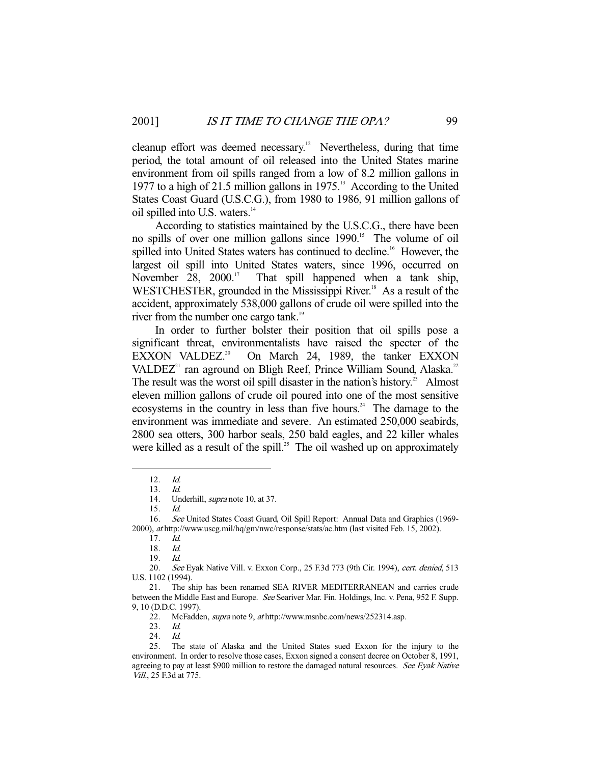cleanup effort was deemed necessary.<sup>12</sup> Nevertheless, during that time period, the total amount of oil released into the United States marine environment from oil spills ranged from a low of 8.2 million gallons in 1977 to a high of 21.5 million gallons in 1975.13 According to the United States Coast Guard (U.S.C.G.), from 1980 to 1986, 91 million gallons of oil spilled into U.S. waters.<sup>14</sup>

 According to statistics maintained by the U.S.C.G., there have been no spills of over one million gallons since 1990.<sup>15</sup> The volume of oil spilled into United States waters has continued to decline.<sup>16</sup> However, the largest oil spill into United States waters, since 1996, occurred on November 28, 2000.<sup>17</sup> That spill happened when a tank ship, WESTCHESTER, grounded in the Mississippi River.<sup>18</sup> As a result of the accident, approximately 538,000 gallons of crude oil were spilled into the river from the number one cargo tank.<sup>19</sup>

 In order to further bolster their position that oil spills pose a significant threat, environmentalists have raised the specter of the EXXON VALDEZ.<sup>20</sup> On March 24, 1989, the tanker EXXON VALDEZ<sup>21</sup> ran aground on Bligh Reef, Prince William Sound, Alaska.<sup>22</sup> The result was the worst oil spill disaster in the nation's history.<sup>23</sup> Almost eleven million gallons of crude oil poured into one of the most sensitive ecosystems in the country in less than five hours.<sup>24</sup> The damage to the environment was immediate and severe. An estimated 250,000 seabirds, 2800 sea otters, 300 harbor seals, 250 bald eagles, and 22 killer whales were killed as a result of the spill.<sup>25</sup> The oil washed up on approximately

 <sup>12.</sup> Id.

 <sup>13.</sup> Id.

<sup>14.</sup> Underhill, *supra* note 10, at 37.

 <sup>15.</sup> Id.

 <sup>16.</sup> See United States Coast Guard, Oil Spill Report: Annual Data and Graphics (1969- 2000), at http://www.uscg.mil/hq/gm/nwc/response/stats/ac.htm (last visited Feb. 15, 2002).

 <sup>17.</sup> Id.

 <sup>18.</sup> Id. 19. Id.

<sup>20.</sup> See Eyak Native Vill. v. Exxon Corp., 25 F.3d 773 (9th Cir. 1994), cert. denied, 513 U.S. 1102 (1994).

 <sup>21.</sup> The ship has been renamed SEA RIVER MEDITERRANEAN and carries crude between the Middle East and Europe. See Seariver Mar. Fin. Holdings, Inc. v. Pena, 952 F. Supp. 9, 10 (D.D.C. 1997).

 <sup>22.</sup> McFadden, supra note 9, at http://www.msnbc.com/news/252314.asp.

 <sup>23.</sup> Id.

<sup>24.</sup> *Id.*<br>25. The

The state of Alaska and the United States sued Exxon for the injury to the environment. In order to resolve those cases, Exxon signed a consent decree on October 8, 1991, agreeing to pay at least \$900 million to restore the damaged natural resources. See Eyak Native Vill., 25 F.3d at 775.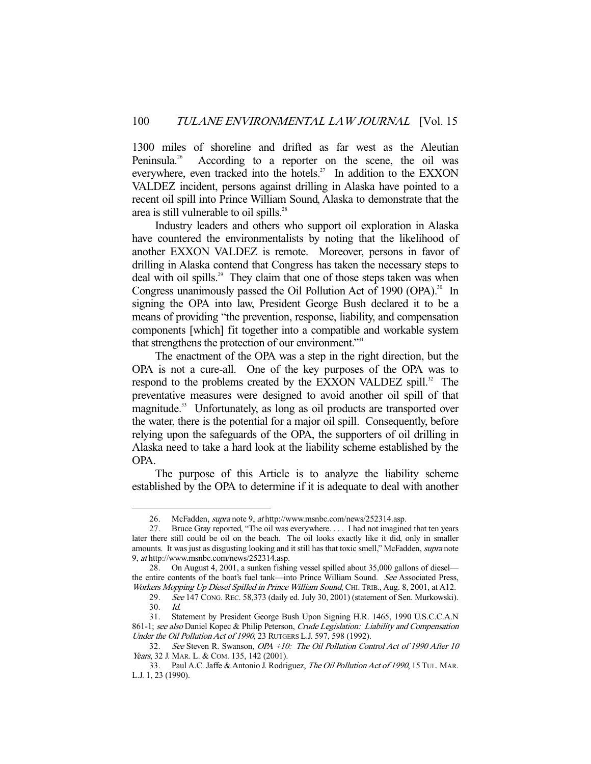1300 miles of shoreline and drifted as far west as the Aleutian Peninsula.<sup>26</sup> According to a reporter on the scene, the oil was everywhere, even tracked into the hotels.<sup>27</sup> In addition to the EXXON VALDEZ incident, persons against drilling in Alaska have pointed to a recent oil spill into Prince William Sound, Alaska to demonstrate that the area is still vulnerable to oil spills.<sup>28</sup>

 Industry leaders and others who support oil exploration in Alaska have countered the environmentalists by noting that the likelihood of another EXXON VALDEZ is remote. Moreover, persons in favor of drilling in Alaska contend that Congress has taken the necessary steps to deal with oil spills.<sup>29</sup> They claim that one of those steps taken was when Congress unanimously passed the Oil Pollution Act of 1990 (OPA).<sup>30</sup> In signing the OPA into law, President George Bush declared it to be a means of providing "the prevention, response, liability, and compensation components [which] fit together into a compatible and workable system that strengthens the protection of our environment."<sup>31</sup>

 The enactment of the OPA was a step in the right direction, but the OPA is not a cure-all. One of the key purposes of the OPA was to respond to the problems created by the EXXON VALDEZ spill.<sup>32</sup> The preventative measures were designed to avoid another oil spill of that magnitude.<sup>33</sup> Unfortunately, as long as oil products are transported over the water, there is the potential for a major oil spill. Consequently, before relying upon the safeguards of the OPA, the supporters of oil drilling in Alaska need to take a hard look at the liability scheme established by the OPA.

 The purpose of this Article is to analyze the liability scheme established by the OPA to determine if it is adequate to deal with another

 <sup>26.</sup> McFadden, supra note 9, at http://www.msnbc.com/news/252314.asp.

 <sup>27.</sup> Bruce Gray reported, "The oil was everywhere. . . . I had not imagined that ten years later there still could be oil on the beach. The oil looks exactly like it did, only in smaller amounts. It was just as disgusting looking and it still has that toxic smell," McFadden, *supra* note 9, at http://www.msnbc.com/news/252314.asp.

 <sup>28.</sup> On August 4, 2001, a sunken fishing vessel spilled about 35,000 gallons of diesel the entire contents of the boat's fuel tank—into Prince William Sound. See Associated Press, Workers Mopping Up Diesel Spilled in Prince William Sound, CHI. TRIB., Aug. 8, 2001, at A12.

<sup>29.</sup> See 147 CONG. REC. 58,373 (daily ed. July 30, 2001) (statement of Sen. Murkowski). 30. Id.

 <sup>31.</sup> Statement by President George Bush Upon Signing H.R. 1465, 1990 U.S.C.C.A.N 861-1; see also Daniel Kopec & Philip Peterson, Crude Legislation: Liability and Compensation Under the Oil Pollution Act of 1990, 23 RUTGERS L.J. 597, 598 (1992).

<sup>32.</sup> See Steven R. Swanson, OPA +10: The Oil Pollution Control Act of 1990 After 10 Years, 32 J. MAR. L. & COM. 135, 142 (2001).

 <sup>33.</sup> Paul A.C. Jaffe & Antonio J. Rodriguez, The Oil Pollution Act of 1990, 15 TUL. MAR. L.J. 1, 23 (1990).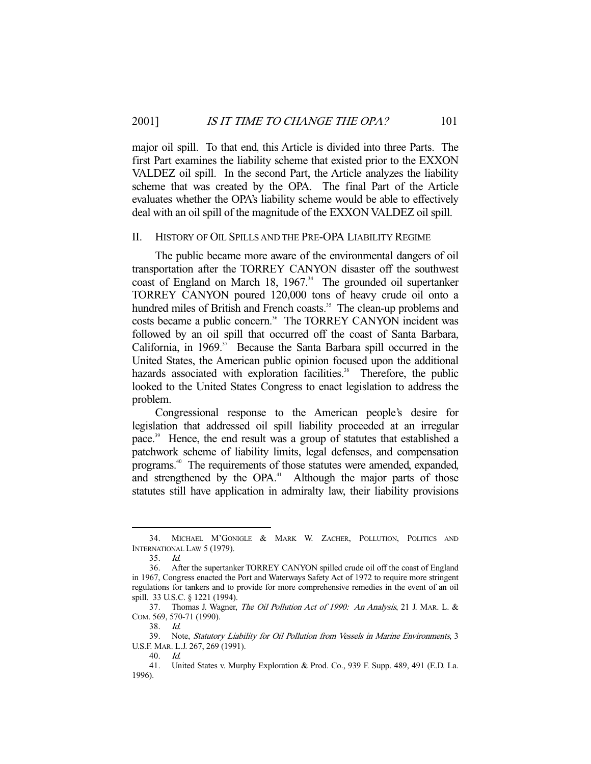major oil spill. To that end, this Article is divided into three Parts. The first Part examines the liability scheme that existed prior to the EXXON VALDEZ oil spill. In the second Part, the Article analyzes the liability scheme that was created by the OPA. The final Part of the Article evaluates whether the OPA's liability scheme would be able to effectively deal with an oil spill of the magnitude of the EXXON VALDEZ oil spill.

#### II. HISTORY OF OIL SPILLS AND THE PRE-OPA LIABILITY REGIME

 The public became more aware of the environmental dangers of oil transportation after the TORREY CANYON disaster off the southwest coast of England on March 18,  $1967$ <sup>34</sup>. The grounded oil supertanker TORREY CANYON poured 120,000 tons of heavy crude oil onto a hundred miles of British and French coasts.<sup>35</sup> The clean-up problems and costs became a public concern.<sup>36</sup> The TORREY CANYON incident was followed by an oil spill that occurred off the coast of Santa Barbara, California, in  $1969$ <sup>37</sup> Because the Santa Barbara spill occurred in the United States, the American public opinion focused upon the additional hazards associated with exploration facilities.<sup>38</sup> Therefore, the public looked to the United States Congress to enact legislation to address the problem.

 Congressional response to the American people's desire for legislation that addressed oil spill liability proceeded at an irregular pace.<sup>39</sup> Hence, the end result was a group of statutes that established a patchwork scheme of liability limits, legal defenses, and compensation programs.40 The requirements of those statutes were amended, expanded, and strengthened by the OPA.<sup>41</sup> Although the major parts of those statutes still have application in admiralty law, their liability provisions

 <sup>34.</sup> MICHAEL M'GONIGLE & MARK W. ZACHER, POLLUTION, POLITICS AND INTERNATIONAL LAW 5 (1979).

 <sup>35.</sup> Id.

 <sup>36.</sup> After the supertanker TORREY CANYON spilled crude oil off the coast of England in 1967, Congress enacted the Port and Waterways Safety Act of 1972 to require more stringent regulations for tankers and to provide for more comprehensive remedies in the event of an oil spill. 33 U.S.C. § 1221 (1994).

 <sup>37.</sup> Thomas J. Wagner, The Oil Pollution Act of 1990: An Analysis, 21 J. MAR. L. & COM. 569, 570-71 (1990).

 <sup>38.</sup> Id.

 <sup>39.</sup> Note, Statutory Liability for Oil Pollution from Vessels in Marine Environments, 3 U.S.F. MAR. L.J. 267, 269 (1991).

 <sup>40.</sup> Id.

 <sup>41.</sup> United States v. Murphy Exploration & Prod. Co., 939 F. Supp. 489, 491 (E.D. La. 1996).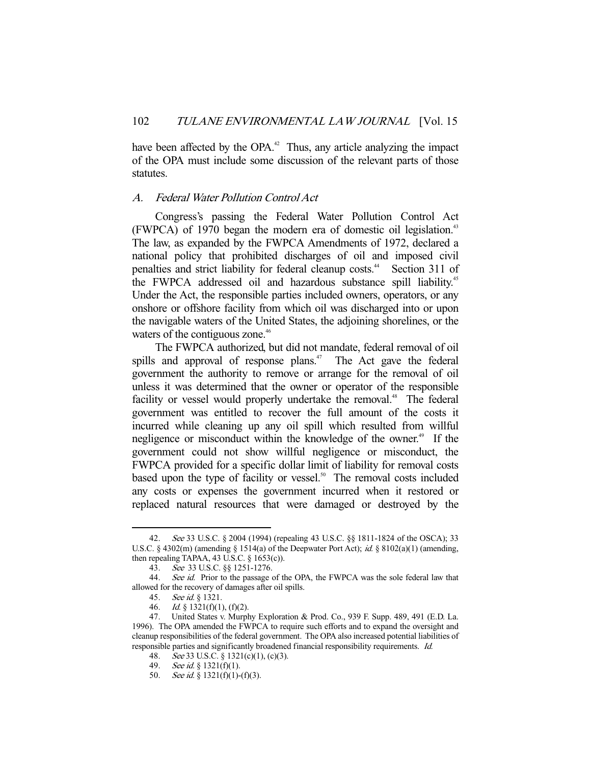have been affected by the OPA.<sup>42</sup> Thus, any article analyzing the impact of the OPA must include some discussion of the relevant parts of those statutes.

## A. Federal Water Pollution Control Act

 Congress's passing the Federal Water Pollution Control Act (FWPCA) of 1970 began the modern era of domestic oil legislation.<sup>43</sup> The law, as expanded by the FWPCA Amendments of 1972, declared a national policy that prohibited discharges of oil and imposed civil penalties and strict liability for federal cleanup costs.<sup>44</sup> Section 311 of the FWPCA addressed oil and hazardous substance spill liability.<sup>45</sup> Under the Act, the responsible parties included owners, operators, or any onshore or offshore facility from which oil was discharged into or upon the navigable waters of the United States, the adjoining shorelines, or the waters of the contiguous zone.<sup>46</sup>

 The FWPCA authorized, but did not mandate, federal removal of oil spills and approval of response plans.<sup> $47$ </sup> The Act gave the federal government the authority to remove or arrange for the removal of oil unless it was determined that the owner or operator of the responsible facility or vessel would properly undertake the removal.<sup>48</sup> The federal government was entitled to recover the full amount of the costs it incurred while cleaning up any oil spill which resulted from willful negligence or misconduct within the knowledge of the owner.<sup>49</sup> If the government could not show willful negligence or misconduct, the FWPCA provided for a specific dollar limit of liability for removal costs based upon the type of facility or vessel.<sup>50</sup> The removal costs included any costs or expenses the government incurred when it restored or replaced natural resources that were damaged or destroyed by the

 <sup>42.</sup> See 33 U.S.C. § 2004 (1994) (repealing 43 U.S.C. §§ 1811-1824 of the OSCA); 33 U.S.C. § 4302(m) (amending § 1514(a) of the Deepwater Port Act); id. § 8102(a)(1) (amending, then repealing TAPAA, 43 U.S.C.  $\S$  1653(c)).

 <sup>43.</sup> See 33 U.S.C. §§ 1251-1276.

<sup>44.</sup> See id. Prior to the passage of the OPA, the FWPCA was the sole federal law that allowed for the recovery of damages after oil spills.

 <sup>45.</sup> See id. § 1321.

<sup>46.</sup> Id.  $\S$  1321(f)(1), (f)(2).

 <sup>47.</sup> United States v. Murphy Exploration & Prod. Co., 939 F. Supp. 489, 491 (E.D. La. 1996). The OPA amended the FWPCA to require such efforts and to expand the oversight and cleanup responsibilities of the federal government. The OPA also increased potential liabilities of responsible parties and significantly broadened financial responsibility requirements. Id.

<sup>48.</sup> See 33 U.S.C. § 1321(c)(1), (c)(3).

<sup>49.</sup> See id. § 1321(f)(1).

<sup>50.</sup> See id. § 1321(f)(1)-(f)(3).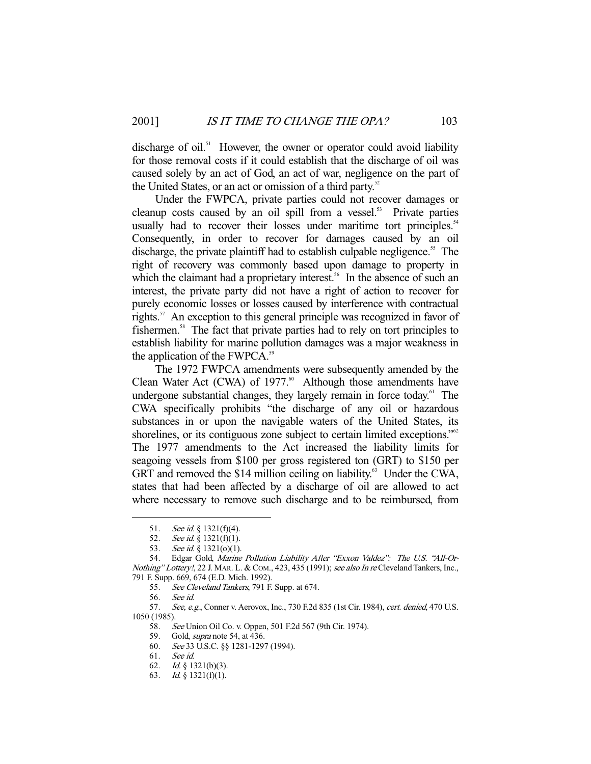discharge of oil.<sup>51</sup> However, the owner or operator could avoid liability for those removal costs if it could establish that the discharge of oil was caused solely by an act of God, an act of war, negligence on the part of the United States, or an act or omission of a third party.<sup>52</sup>

 Under the FWPCA, private parties could not recover damages or cleanup costs caused by an oil spill from a vessel.<sup>53</sup> Private parties usually had to recover their losses under maritime tort principles.<sup>54</sup> Consequently, in order to recover for damages caused by an oil discharge, the private plaintiff had to establish culpable negligence.<sup>55</sup> The right of recovery was commonly based upon damage to property in which the claimant had a proprietary interest.<sup>56</sup> In the absence of such an interest, the private party did not have a right of action to recover for purely economic losses or losses caused by interference with contractual rights.<sup>57</sup> An exception to this general principle was recognized in favor of fishermen.<sup>58</sup> The fact that private parties had to rely on tort principles to establish liability for marine pollution damages was a major weakness in the application of the FWPCA.<sup>59</sup>

 The 1972 FWPCA amendments were subsequently amended by the Clean Water Act (CWA) of  $1977.^{60}$  Although those amendments have undergone substantial changes, they largely remain in force today.<sup>61</sup> The CWA specifically prohibits "the discharge of any oil or hazardous substances in or upon the navigable waters of the United States, its shorelines, or its contiguous zone subject to certain limited exceptions."<sup>62</sup> The 1977 amendments to the Act increased the liability limits for seagoing vessels from \$100 per gross registered ton (GRT) to \$150 per GRT and removed the \$14 million ceiling on liability. $63$  Under the CWA, states that had been affected by a discharge of oil are allowed to act where necessary to remove such discharge and to be reimbursed, from

-

57. See, e.g., Conner v. Aerovox, Inc., 730 F.2d 835 (1st Cir. 1984), cert. denied, 470 U.S. 1050 (1985).

58. See Union Oil Co. v. Oppen, 501 F.2d 567 (9th Cir. 1974).

59. Gold, *supra* note 54, at 436.

<sup>51.</sup> See id.  $\S$  1321(f)(4).

 <sup>52.</sup> See id. § 1321(f)(1).

<sup>53.</sup> See id. § 1321(o)(1).

 <sup>54.</sup> Edgar Gold, Marine Pollution Liability After "Exxon Valdez": The U.S. "All-Or-Nothing" Lottery!, 22 J. MAR. L. & COM., 423, 435 (1991); see also In re Cleveland Tankers, Inc., 791 F. Supp. 669, 674 (E.D. Mich. 1992).

<sup>55.</sup> See Cleveland Tankers, 791 F. Supp. at 674.

 <sup>56.</sup> See id.

 <sup>60.</sup> See 33 U.S.C. §§ 1281-1297 (1994).

 <sup>61.</sup> See id.

 <sup>62.</sup> Id. § 1321(b)(3).

 <sup>63.</sup> Id. § 1321(f)(1).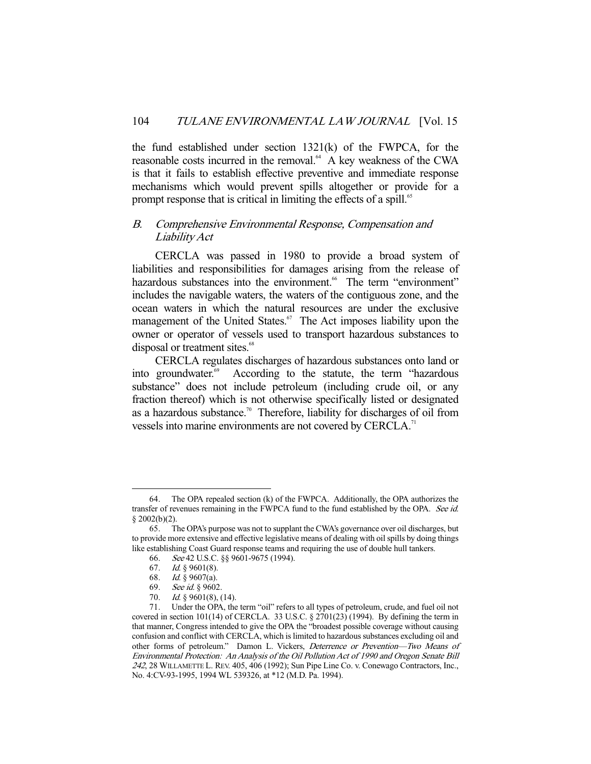the fund established under section 1321(k) of the FWPCA, for the reasonable costs incurred in the removal.<sup>64</sup> A key weakness of the CWA is that it fails to establish effective preventive and immediate response mechanisms which would prevent spills altogether or provide for a prompt response that is critical in limiting the effects of a spill.<sup>65</sup>

## B. Comprehensive Environmental Response, Compensation and Liability Act

 CERCLA was passed in 1980 to provide a broad system of liabilities and responsibilities for damages arising from the release of hazardous substances into the environment.<sup>66</sup> The term "environment" includes the navigable waters, the waters of the contiguous zone, and the ocean waters in which the natural resources are under the exclusive management of the United States.<sup>67</sup> The Act imposes liability upon the owner or operator of vessels used to transport hazardous substances to disposal or treatment sites.<sup>68</sup>

 CERCLA regulates discharges of hazardous substances onto land or into groundwater.<sup>69</sup> According to the statute, the term "hazardous" substance" does not include petroleum (including crude oil, or any fraction thereof) which is not otherwise specifically listed or designated as a hazardous substance.<sup>70</sup> Therefore, liability for discharges of oil from vessels into marine environments are not covered by CERCLA.<sup>71</sup>

 <sup>64.</sup> The OPA repealed section (k) of the FWPCA. Additionally, the OPA authorizes the transfer of revenues remaining in the FWPCA fund to the fund established by the OPA. See id.  $§$  2002(b)(2).

 <sup>65.</sup> The OPA's purpose was not to supplant the CWA's governance over oil discharges, but to provide more extensive and effective legislative means of dealing with oil spills by doing things like establishing Coast Guard response teams and requiring the use of double hull tankers.

 <sup>66.</sup> See 42 U.S.C. §§ 9601-9675 (1994).

 <sup>67.</sup> Id. § 9601(8).

 <sup>68.</sup> Id. § 9607(a).

 <sup>69.</sup> See id. § 9602.

<sup>70.</sup> *Id.* § 9601(8), (14).

 <sup>71.</sup> Under the OPA, the term "oil" refers to all types of petroleum, crude, and fuel oil not covered in section 101(14) of CERCLA. 33 U.S.C.  $\S 2701(23)$  (1994). By defining the term in that manner, Congress intended to give the OPA the "broadest possible coverage without causing confusion and conflict with CERCLA, which is limited to hazardous substances excluding oil and other forms of petroleum." Damon L. Vickers, Deterrence or Prevention—Two Means of Environmental Protection: An Analysis of the Oil Pollution Act of 1990 and Oregon Senate Bill <sup>242</sup>, 28 WILLAMETTE L. REV. 405, 406 (1992); Sun Pipe Line Co. v. Conewago Contractors, Inc., No. 4:CV-93-1995, 1994 WL 539326, at \*12 (M.D. Pa. 1994).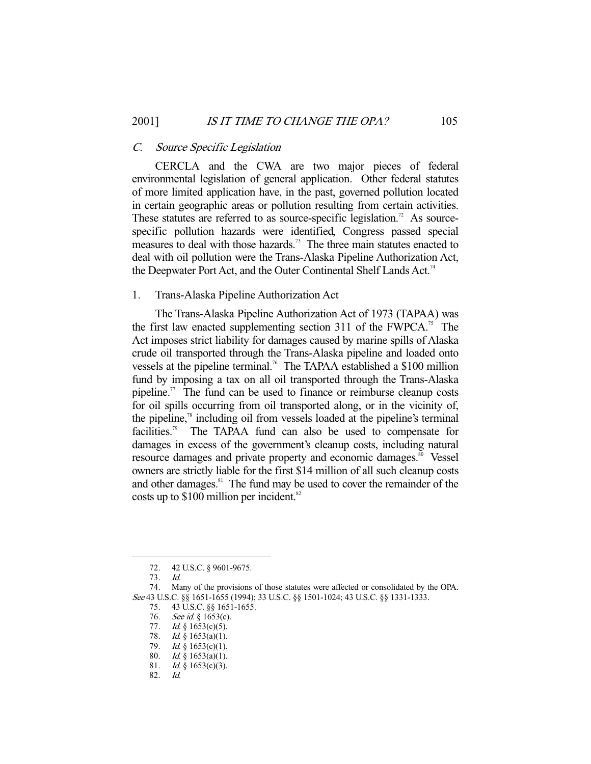## C. Source Specific Legislation

 CERCLA and the CWA are two major pieces of federal environmental legislation of general application. Other federal statutes of more limited application have, in the past, governed pollution located in certain geographic areas or pollution resulting from certain activities. These statutes are referred to as source-specific legislation.<sup>72</sup> As sourcespecific pollution hazards were identified, Congress passed special measures to deal with those hazards.<sup>73</sup> The three main statutes enacted to deal with oil pollution were the Trans-Alaska Pipeline Authorization Act, the Deepwater Port Act, and the Outer Continental Shelf Lands Act.<sup>74</sup>

## 1. Trans-Alaska Pipeline Authorization Act

 The Trans-Alaska Pipeline Authorization Act of 1973 (TAPAA) was the first law enacted supplementing section 311 of the  $FWPCA.^{75}$  The Act imposes strict liability for damages caused by marine spills of Alaska crude oil transported through the Trans-Alaska pipeline and loaded onto vessels at the pipeline terminal.<sup>76</sup> The TAPAA established a \$100 million fund by imposing a tax on all oil transported through the Trans-Alaska pipeline.<sup>77</sup> The fund can be used to finance or reimburse cleanup costs for oil spills occurring from oil transported along, or in the vicinity of, the pipeline,<sup>78</sup> including oil from vessels loaded at the pipeline's terminal facilities.<sup>79</sup> The TAPAA fund can also be used to compensate for damages in excess of the government's cleanup costs, including natural resource damages and private property and economic damages.<sup>80</sup> Vessel owners are strictly liable for the first \$14 million of all such cleanup costs and other damages.<sup>81</sup> The fund may be used to cover the remainder of the costs up to  $$100$  million per incident.<sup>82</sup>

-

76. *See id.* § 1653(c).

 <sup>72. 42</sup> U.S.C. § 9601-9675.

 <sup>73.</sup> Id.

 <sup>74.</sup> Many of the provisions of those statutes were affected or consolidated by the OPA. See 43 U.S.C. §§ 1651-1655 (1994); 33 U.S.C. §§ 1501-1024; 43 U.S.C. §§ 1331-1333.

 <sup>75. 43</sup> U.S.C. §§ 1651-1655.

<sup>77.</sup> Id.  $\S$  1653(c)(5).

<sup>78.</sup> *Id.* § 1653(a)(1).

<sup>79.</sup> *Id.* § 1653(c)(1).

<sup>80.</sup> Id.  $\frac{1}{9}$  1653(a)(1).

<sup>81.</sup> Id. § 1653(c)(3).

 <sup>82.</sup> Id.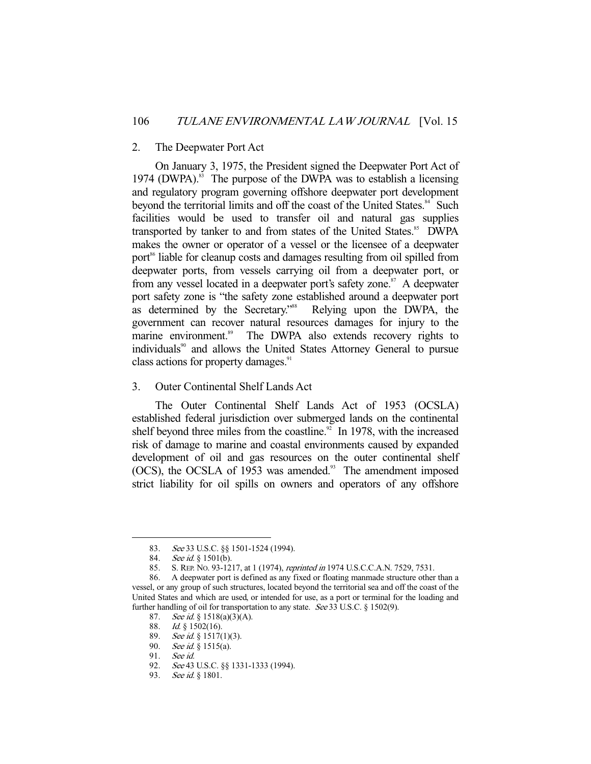## 2. The Deepwater Port Act

 On January 3, 1975, the President signed the Deepwater Port Act of 1974 (DWPA). $83$  The purpose of the DWPA was to establish a licensing and regulatory program governing offshore deepwater port development beyond the territorial limits and off the coast of the United States.<sup>84</sup> Such facilities would be used to transfer oil and natural gas supplies transported by tanker to and from states of the United States.<sup>85</sup> DWPA makes the owner or operator of a vessel or the licensee of a deepwater port<sup>86</sup> liable for cleanup costs and damages resulting from oil spilled from deepwater ports, from vessels carrying oil from a deepwater port, or from any vessel located in a deepwater port's safety zone.<sup>87</sup> A deepwater port safety zone is "the safety zone established around a deepwater port as determined by the Secretary."<sup>88</sup> Relying upon the DWPA, the government can recover natural resources damages for injury to the marine environment.<sup>89</sup> The DWPA also extends recovery rights to individuals<sup>90</sup> and allows the United States Attorney General to pursue class actions for property damages.<sup>91</sup>

## 3. Outer Continental Shelf Lands Act

 The Outer Continental Shelf Lands Act of 1953 (OCSLA) established federal jurisdiction over submerged lands on the continental shelf beyond three miles from the coastline.<sup>92</sup> In 1978, with the increased risk of damage to marine and coastal environments caused by expanded development of oil and gas resources on the outer continental shelf (OCS), the OCSLA of 1953 was amended.<sup>93</sup> The amendment imposed strict liability for oil spills on owners and operators of any offshore

<sup>83.</sup> See 33 U.S.C. §§ 1501-1524 (1994).

<sup>84.</sup> See id. § 1501(b).

 <sup>85.</sup> S. REP. NO. 93-1217, at 1 (1974), reprinted in 1974 U.S.C.C.A.N. 7529, 7531.

 <sup>86.</sup> A deepwater port is defined as any fixed or floating manmade structure other than a vessel, or any group of such structures, located beyond the territorial sea and off the coast of the United States and which are used, or intended for use, as a port or terminal for the loading and further handling of oil for transportation to any state. See 33 U.S.C. § 1502(9).

<sup>87.</sup> See id. § 1518(a)(3)(A).

 <sup>88.</sup> Id. § 1502(16).

<sup>89.</sup> *See id.* § 1517(1)(3).

<sup>90.</sup> *See id.* § 1515(a).

 <sup>91.</sup> See id.

<sup>92.</sup> See 43 U.S.C. §§ 1331-1333 (1994).

<sup>93.</sup> See id. § 1801.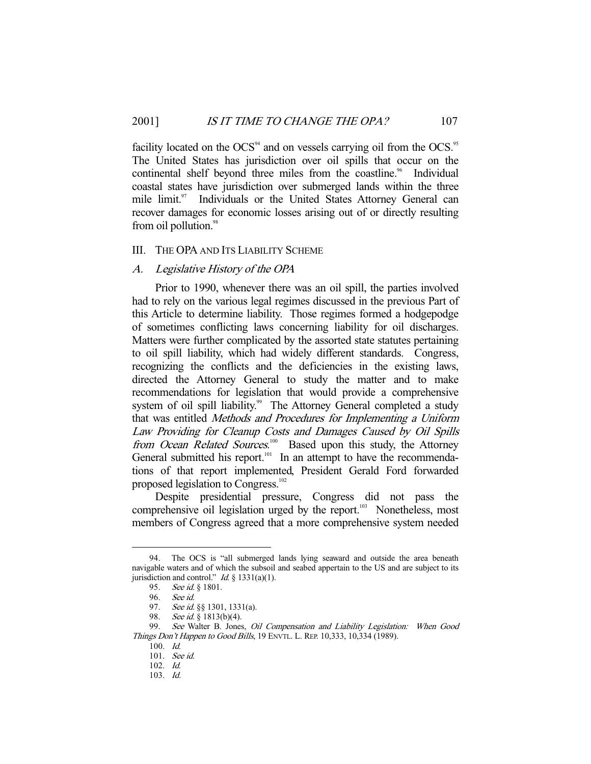facility located on the  $OCS<sup>94</sup>$  and on vessels carrying oil from the  $OCS<sup>95</sup>$ The United States has jurisdiction over oil spills that occur on the continental shelf beyond three miles from the coastline.<sup>96</sup> Individual coastal states have jurisdiction over submerged lands within the three mile limit.<sup>97</sup> Individuals or the United States Attorney General can recover damages for economic losses arising out of or directly resulting from oil pollution.<sup>98</sup>

## III. THE OPA AND ITS LIABILITY SCHEME

## A. Legislative History of the OPA

 Prior to 1990, whenever there was an oil spill, the parties involved had to rely on the various legal regimes discussed in the previous Part of this Article to determine liability. Those regimes formed a hodgepodge of sometimes conflicting laws concerning liability for oil discharges. Matters were further complicated by the assorted state statutes pertaining to oil spill liability, which had widely different standards. Congress, recognizing the conflicts and the deficiencies in the existing laws, directed the Attorney General to study the matter and to make recommendations for legislation that would provide a comprehensive system of oil spill liability.<sup>99</sup> The Attorney General completed a study that was entitled Methods and Procedures for Implementing a Uniform Law Providing for Cleanup Costs and Damages Caused by Oil Spills from Ocean Related Sources.<sup>100</sup> Based upon this study, the Attorney General submitted his report.<sup>101</sup> In an attempt to have the recommendations of that report implemented, President Gerald Ford forwarded proposed legislation to Congress.<sup>102</sup>

 Despite presidential pressure, Congress did not pass the comprehensive oil legislation urged by the report.<sup>103</sup> Nonetheless, most members of Congress agreed that a more comprehensive system needed

 <sup>94.</sup> The OCS is "all submerged lands lying seaward and outside the area beneath navigable waters and of which the subsoil and seabed appertain to the US and are subject to its jurisdiction and control." *Id.*  $\S$  1331(a)(1).

<sup>95.</sup> See id. § 1801.

 <sup>96.</sup> See id.

<sup>97.</sup> See id. §§ 1301, 1331(a).

<sup>98.</sup> See id. § 1813(b)(4).

<sup>99.</sup> See Walter B. Jones, Oil Compensation and Liability Legislation: When Good Things Don't Happen to Good Bills, 19 ENVTL. L. REP. 10,333, 10,334 (1989).

 <sup>100.</sup> Id.

 <sup>101.</sup> See id.

 <sup>102.</sup> Id.

 <sup>103.</sup> Id.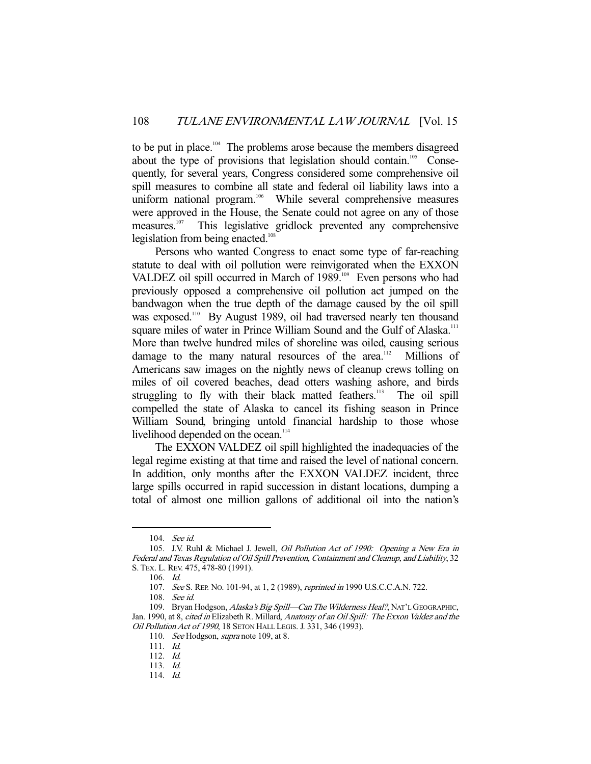to be put in place.<sup>104</sup> The problems arose because the members disagreed about the type of provisions that legislation should contain.<sup>105</sup> Consequently, for several years, Congress considered some comprehensive oil spill measures to combine all state and federal oil liability laws into a uniform national program.<sup>106</sup> While several comprehensive measures were approved in the House, the Senate could not agree on any of those measures.107 This legislative gridlock prevented any comprehensive legislation from being enacted.<sup>108</sup>

 Persons who wanted Congress to enact some type of far-reaching statute to deal with oil pollution were reinvigorated when the EXXON VALDEZ oil spill occurred in March of 1989.<sup>109</sup> Even persons who had previously opposed a comprehensive oil pollution act jumped on the bandwagon when the true depth of the damage caused by the oil spill was exposed.<sup>110</sup> By August 1989, oil had traversed nearly ten thousand square miles of water in Prince William Sound and the Gulf of Alaska.<sup>111</sup> More than twelve hundred miles of shoreline was oiled, causing serious damage to the many natural resources of the area.<sup>112</sup> Millions of Americans saw images on the nightly news of cleanup crews tolling on miles of oil covered beaches, dead otters washing ashore, and birds struggling to fly with their black matted feathers.<sup>113</sup> The oil spill compelled the state of Alaska to cancel its fishing season in Prince William Sound, bringing untold financial hardship to those whose livelihood depended on the ocean.<sup>114</sup>

 The EXXON VALDEZ oil spill highlighted the inadequacies of the legal regime existing at that time and raised the level of national concern. In addition, only months after the EXXON VALDEZ incident, three large spills occurred in rapid succession in distant locations, dumping a total of almost one million gallons of additional oil into the nation's

 <sup>104.</sup> See id.

 <sup>105.</sup> J.V. Ruhl & Michael J. Jewell, Oil Pollution Act of 1990: Opening a New Era in Federal and Texas Regulation of Oil Spill Prevention, Containment and Cleanup, and Liability, 32 S. TEX. L. REV. 475, 478-80 (1991).

 <sup>106.</sup> Id.

 <sup>107.</sup> See S. REP. NO. 101-94, at 1, 2 (1989), reprinted in 1990 U.S.C.C.A.N. 722.

 <sup>108.</sup> See id.

<sup>109.</sup> Bryan Hodgson, Alaska's Big Spill-Can The Wilderness Heal?, NAT'L GEOGRAPHIC, Jan. 1990, at 8, cited in Elizabeth R. Millard, Anatomy of an Oil Spill: The Exxon Valdez and the Oil Pollution Act of 1990, 18 SETON HALL LEGIS. J. 331, 346 (1993).

<sup>110.</sup> See Hodgson, *supra* note 109, at 8.

 <sup>111.</sup> Id.

 <sup>112.</sup> Id.

 <sup>113.</sup> Id.

 <sup>114.</sup> Id.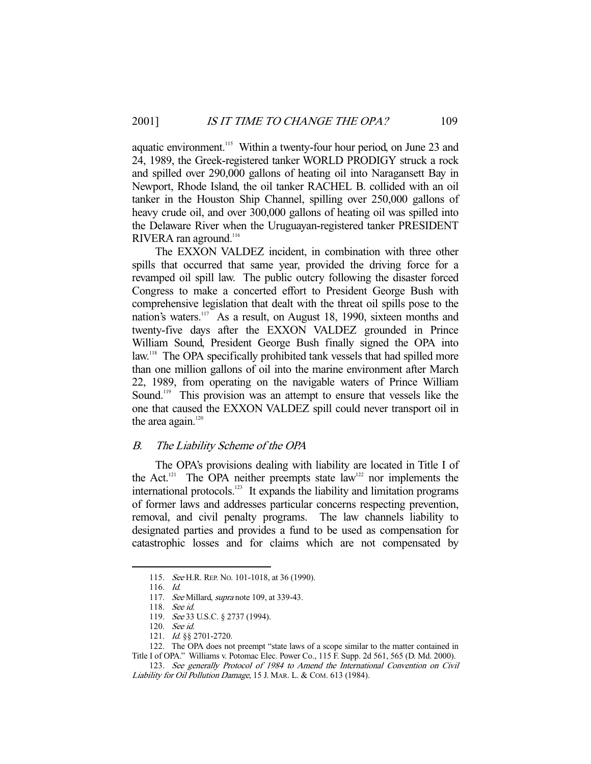aquatic environment.<sup>115</sup> Within a twenty-four hour period, on June 23 and 24, 1989, the Greek-registered tanker WORLD PRODIGY struck a rock and spilled over 290,000 gallons of heating oil into Naragansett Bay in Newport, Rhode Island, the oil tanker RACHEL B. collided with an oil tanker in the Houston Ship Channel, spilling over 250,000 gallons of heavy crude oil, and over 300,000 gallons of heating oil was spilled into the Delaware River when the Uruguayan-registered tanker PRESIDENT RIVERA ran aground.<sup>116</sup>

 The EXXON VALDEZ incident, in combination with three other spills that occurred that same year, provided the driving force for a revamped oil spill law. The public outcry following the disaster forced Congress to make a concerted effort to President George Bush with comprehensive legislation that dealt with the threat oil spills pose to the nation's waters.<sup>117</sup> As a result, on August 18, 1990, sixteen months and twenty-five days after the EXXON VALDEZ grounded in Prince William Sound, President George Bush finally signed the OPA into law.<sup>118</sup> The OPA specifically prohibited tank vessels that had spilled more than one million gallons of oil into the marine environment after March 22, 1989, from operating on the navigable waters of Prince William Sound.<sup>119</sup> This provision was an attempt to ensure that vessels like the one that caused the EXXON VALDEZ spill could never transport oil in the area again. $120$ 

## B. The Liability Scheme of the OPA

 The OPA's provisions dealing with liability are located in Title I of the Act.<sup>121</sup> The OPA neither preempts state  $law<sup>122</sup>$  nor implements the international protocols.<sup>123</sup> It expands the liability and limitation programs of former laws and addresses particular concerns respecting prevention, removal, and civil penalty programs. The law channels liability to designated parties and provides a fund to be used as compensation for catastrophic losses and for claims which are not compensated by

<sup>115.</sup> See H.R. REP. No. 101-1018, at 36 (1990).

 <sup>116.</sup> Id.

<sup>117.</sup> See Millard, *supra* note 109, at 339-43.

 <sup>118.</sup> See id.

 <sup>119.</sup> See 33 U.S.C. § 2737 (1994).

 <sup>120.</sup> See id.

<sup>121.</sup> *Id.* §§ 2701-2720.

 <sup>122.</sup> The OPA does not preempt "state laws of a scope similar to the matter contained in

Title I of OPA." Williams v. Potomac Elec. Power Co., 115 F. Supp. 2d 561, 565 (D. Md. 2000).

 <sup>123.</sup> See generally Protocol of 1984 to Amend the International Convention on Civil Liability for Oil Pollution Damage, 15 J. MAR. L. & COM. 613 (1984).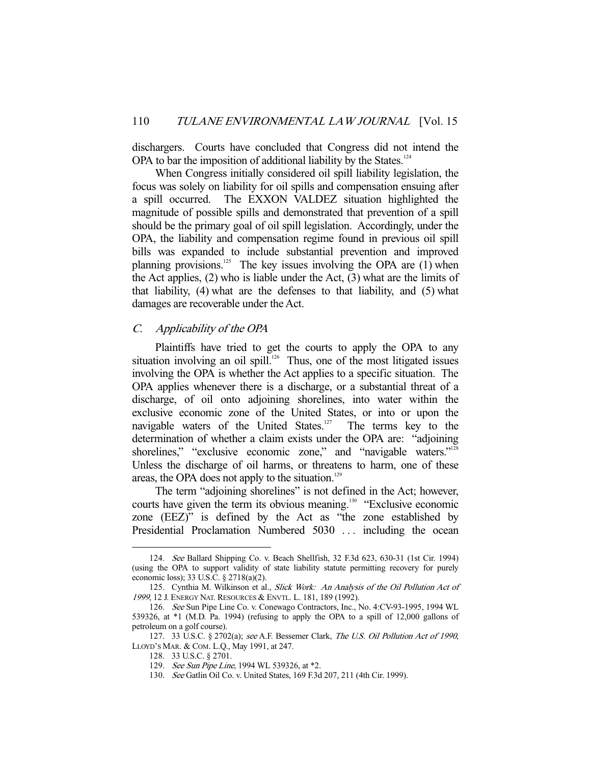dischargers. Courts have concluded that Congress did not intend the OPA to bar the imposition of additional liability by the States.<sup>124</sup>

 When Congress initially considered oil spill liability legislation, the focus was solely on liability for oil spills and compensation ensuing after a spill occurred. The EXXON VALDEZ situation highlighted the magnitude of possible spills and demonstrated that prevention of a spill should be the primary goal of oil spill legislation. Accordingly, under the OPA, the liability and compensation regime found in previous oil spill bills was expanded to include substantial prevention and improved planning provisions.<sup>125</sup> The key issues involving the OPA are  $(1)$  when the Act applies, (2) who is liable under the Act, (3) what are the limits of that liability, (4) what are the defenses to that liability, and (5) what damages are recoverable under the Act.

## C. Applicability of the OPA

 Plaintiffs have tried to get the courts to apply the OPA to any situation involving an oil spill.<sup>126</sup> Thus, one of the most litigated issues involving the OPA is whether the Act applies to a specific situation. The OPA applies whenever there is a discharge, or a substantial threat of a discharge, of oil onto adjoining shorelines, into water within the exclusive economic zone of the United States, or into or upon the navigable waters of the United States.<sup>127</sup> The terms key to the determination of whether a claim exists under the OPA are: "adjoining shorelines," "exclusive economic zone," and "navigable waters."<sup>128</sup> Unless the discharge of oil harms, or threatens to harm, one of these areas, the OPA does not apply to the situation.<sup>129</sup>

The term "adjoining shorelines" is not defined in the Act; however, courts have given the term its obvious meaning.<sup>130</sup> "Exclusive economic zone (EEZ)" is defined by the Act as "the zone established by Presidential Proclamation Numbered 5030 ... including the ocean

 <sup>124.</sup> See Ballard Shipping Co. v. Beach Shellfish, 32 F.3d 623, 630-31 (1st Cir. 1994) (using the OPA to support validity of state liability statute permitting recovery for purely economic loss); 33 U.S.C. § 2718(a)(2).

<sup>125.</sup> Cynthia M. Wilkinson et al., Slick Work: An Analysis of the Oil Pollution Act of <sup>1999</sup>, 12 J. ENERGY NAT. RESOURCES & ENVTL. L. 181, 189 (1992).

 <sup>126.</sup> See Sun Pipe Line Co. v. Conewago Contractors, Inc., No. 4:CV-93-1995, 1994 WL 539326, at \*1 (M.D. Pa. 1994) (refusing to apply the OPA to a spill of 12,000 gallons of petroleum on a golf course).

<sup>127. 33</sup> U.S.C. § 2702(a); see A.F. Bessemer Clark, The U.S. Oil Pollution Act of 1990, LLOYD'S MAR. & COM. L.Q., May 1991, at 247.

 <sup>128. 33</sup> U.S.C. § 2701.

<sup>129.</sup> See Sun Pipe Line, 1994 WL 539326, at \*2.

 <sup>130.</sup> See Gatlin Oil Co. v. United States, 169 F.3d 207, 211 (4th Cir. 1999).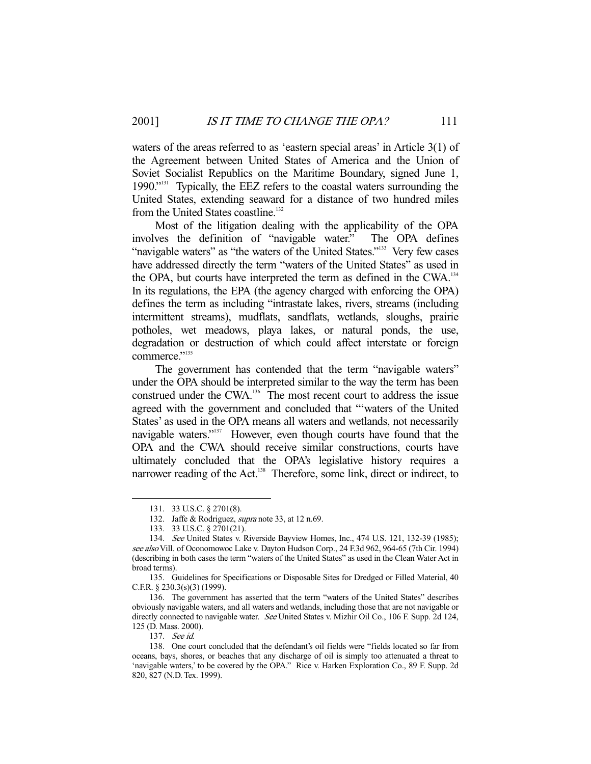waters of the areas referred to as 'eastern special areas' in Article 3(1) of the Agreement between United States of America and the Union of Soviet Socialist Republics on the Maritime Boundary, signed June 1, 1990."131 Typically, the EEZ refers to the coastal waters surrounding the United States, extending seaward for a distance of two hundred miles from the United States coastline.<sup>132</sup>

 Most of the litigation dealing with the applicability of the OPA involves the definition of "navigable water." The OPA defines "navigable waters" as "the waters of the United States."<sup>133</sup> Very few cases have addressed directly the term "waters of the United States" as used in the OPA, but courts have interpreted the term as defined in the CWA.134 In its regulations, the EPA (the agency charged with enforcing the OPA) defines the term as including "intrastate lakes, rivers, streams (including intermittent streams), mudflats, sandflats, wetlands, sloughs, prairie potholes, wet meadows, playa lakes, or natural ponds, the use, degradation or destruction of which could affect interstate or foreign commerce."<sup>135</sup>

 The government has contended that the term "navigable waters" under the OPA should be interpreted similar to the way the term has been construed under the CWA.<sup>136</sup> The most recent court to address the issue agreed with the government and concluded that "'waters of the United States' as used in the OPA means all waters and wetlands, not necessarily navigable waters."<sup>137</sup> However, even though courts have found that the OPA and the CWA should receive similar constructions, courts have ultimately concluded that the OPA's legislative history requires a narrower reading of the Act.<sup>138</sup> Therefore, some link, direct or indirect, to

 <sup>131. 33</sup> U.S.C. § 2701(8).

<sup>132.</sup> Jaffe & Rodriguez, *supra* note 33, at 12 n.69.

 <sup>133. 33</sup> U.S.C. § 2701(21).

 <sup>134.</sup> See United States v. Riverside Bayview Homes, Inc., 474 U.S. 121, 132-39 (1985); see also Vill. of Oconomowoc Lake v. Dayton Hudson Corp., 24 F.3d 962, 964-65 (7th Cir. 1994) (describing in both cases the term "waters of the United States" as used in the Clean Water Act in broad terms).

 <sup>135.</sup> Guidelines for Specifications or Disposable Sites for Dredged or Filled Material, 40 C.F.R. § 230.3(s)(3) (1999).

 <sup>136.</sup> The government has asserted that the term "waters of the United States" describes obviously navigable waters, and all waters and wetlands, including those that are not navigable or directly connected to navigable water. See United States v. Mizhir Oil Co., 106 F. Supp. 2d 124, 125 (D. Mass. 2000).

 <sup>137.</sup> See id.

 <sup>138.</sup> One court concluded that the defendant's oil fields were "fields located so far from oceans, bays, shores, or beaches that any discharge of oil is simply too attenuated a threat to 'navigable waters,' to be covered by the OPA." Rice v. Harken Exploration Co., 89 F. Supp. 2d 820, 827 (N.D. Tex. 1999).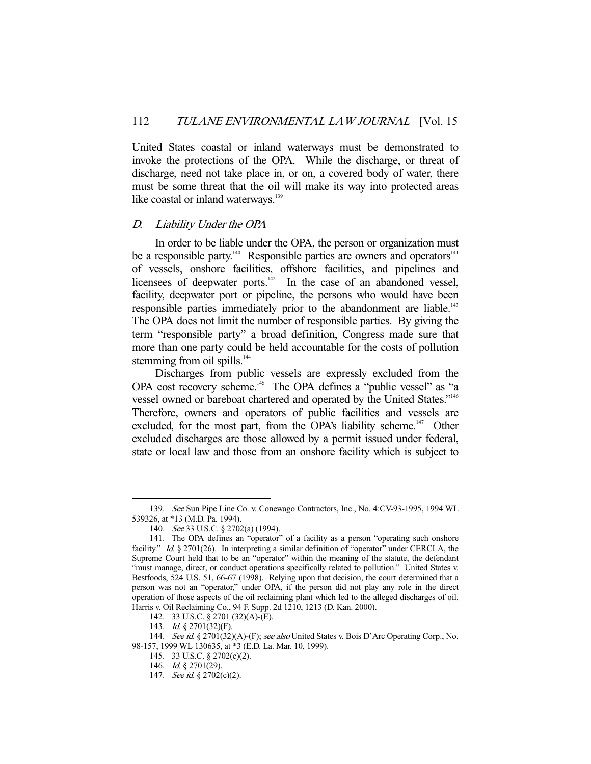United States coastal or inland waterways must be demonstrated to invoke the protections of the OPA. While the discharge, or threat of discharge, need not take place in, or on, a covered body of water, there must be some threat that the oil will make its way into protected areas like coastal or inland waterways.<sup>139</sup>

## D. Liability Under the OPA

 In order to be liable under the OPA, the person or organization must be a responsible party.<sup>140</sup> Responsible parties are owners and operators<sup>141</sup> of vessels, onshore facilities, offshore facilities, and pipelines and licensees of deepwater ports.<sup>142</sup> In the case of an abandoned vessel, facility, deepwater port or pipeline, the persons who would have been responsible parties immediately prior to the abandonment are liable.<sup>143</sup> The OPA does not limit the number of responsible parties. By giving the term "responsible party" a broad definition, Congress made sure that more than one party could be held accountable for the costs of pollution stemming from oil spills.<sup>144</sup>

 Discharges from public vessels are expressly excluded from the OPA cost recovery scheme.<sup>145</sup> The OPA defines a "public vessel" as "a vessel owned or bareboat chartered and operated by the United States."<sup>146</sup> Therefore, owners and operators of public facilities and vessels are excluded, for the most part, from the OPA's liability scheme.<sup>147</sup> Other excluded discharges are those allowed by a permit issued under federal, state or local law and those from an onshore facility which is subject to

 <sup>139.</sup> See Sun Pipe Line Co. v. Conewago Contractors, Inc., No. 4:CV-93-1995, 1994 WL 539326, at \*13 (M.D. Pa. 1994).

 <sup>140.</sup> See 33 U.S.C. § 2702(a) (1994).

 <sup>141.</sup> The OPA defines an "operator" of a facility as a person "operating such onshore facility." Id. § 2701(26). In interpreting a similar definition of "operator" under CERCLA, the Supreme Court held that to be an "operator" within the meaning of the statute, the defendant "must manage, direct, or conduct operations specifically related to pollution." United States v. Bestfoods, 524 U.S. 51, 66-67 (1998). Relying upon that decision, the court determined that a person was not an "operator," under OPA, if the person did not play any role in the direct operation of those aspects of the oil reclaiming plant which led to the alleged discharges of oil. Harris v. Oil Reclaiming Co., 94 F. Supp. 2d 1210, 1213 (D. Kan. 2000).

 <sup>142. 33</sup> U.S.C. § 2701 (32)(A)-(E).

<sup>143.</sup> *Id.* § 2701(32)(F).

<sup>144.</sup> See id. § 2701(32)(A)-(F); see also United States v. Bois D'Arc Operating Corp., No. 98-157, 1999 WL 130635, at \*3 (E.D. La. Mar. 10, 1999).

 <sup>145. 33</sup> U.S.C. § 2702(c)(2).

 <sup>146.</sup> Id. § 2701(29).

<sup>147.</sup> See id. § 2702(c)(2).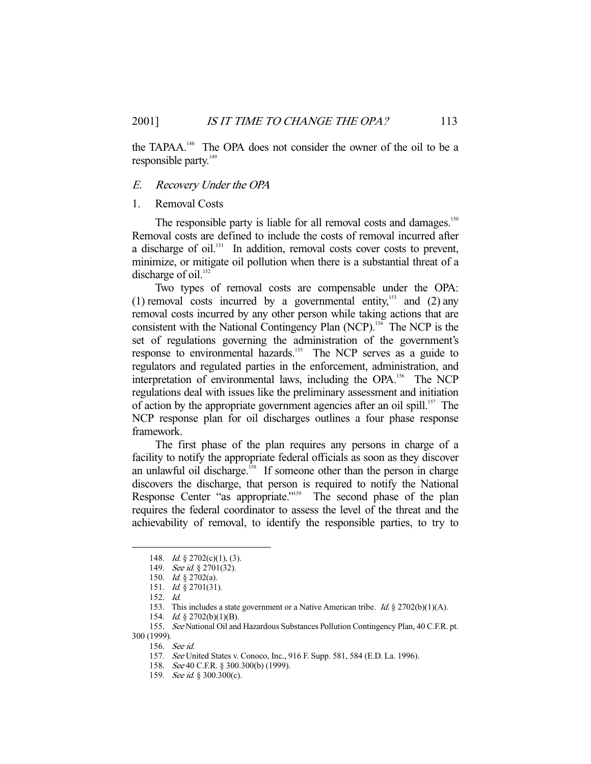the TAPAA.<sup>148</sup> The OPA does not consider the owner of the oil to be a responsible party.<sup>149</sup>

## E. Recovery Under the OPA

#### 1. Removal Costs

The responsible party is liable for all removal costs and damages.<sup>150</sup> Removal costs are defined to include the costs of removal incurred after a discharge of oil.<sup>151</sup> In addition, removal costs cover costs to prevent, minimize, or mitigate oil pollution when there is a substantial threat of a discharge of oil. $152$ 

 Two types of removal costs are compensable under the OPA: (1) removal costs incurred by a governmental entity, $^{153}$  and (2) any removal costs incurred by any other person while taking actions that are consistent with the National Contingency Plan (NCP).<sup>154</sup> The NCP is the set of regulations governing the administration of the government's response to environmental hazards.<sup>155</sup> The NCP serves as a guide to regulators and regulated parties in the enforcement, administration, and interpretation of environmental laws, including the OPA.<sup>156</sup> The NCP regulations deal with issues like the preliminary assessment and initiation of action by the appropriate government agencies after an oil spill.<sup>157</sup> The NCP response plan for oil discharges outlines a four phase response framework.

 The first phase of the plan requires any persons in charge of a facility to notify the appropriate federal officials as soon as they discover an unlawful oil discharge.<sup>158</sup> If someone other than the person in charge discovers the discharge, that person is required to notify the National Response Center "as appropriate."<sup>159</sup> The second phase of the plan requires the federal coordinator to assess the level of the threat and the achievability of removal, to identify the responsible parties, to try to

<sup>148.</sup> *Id.* § 2702(c)(1), (3).

<sup>149.</sup> See id. § 2701(32).

 <sup>150.</sup> Id. § 2702(a).

 <sup>151.</sup> Id. § 2701(31).

 <sup>152.</sup> Id.

<sup>153.</sup> This includes a state government or a Native American tribe. Id. § 2702(b)(1)(A).

 <sup>154.</sup> Id. § 2702(b)(1)(B).

 <sup>155.</sup> See National Oil and Hazardous Substances Pollution Contingency Plan, 40 C.F.R. pt. 300 (1999).

 <sup>156.</sup> See id.

 <sup>157.</sup> See United States v. Conoco, Inc., 916 F. Supp. 581, 584 (E.D. La. 1996).

 <sup>158.</sup> See 40 C.F.R. § 300.300(b) (1999).

<sup>159.</sup> See id. § 300.300(c).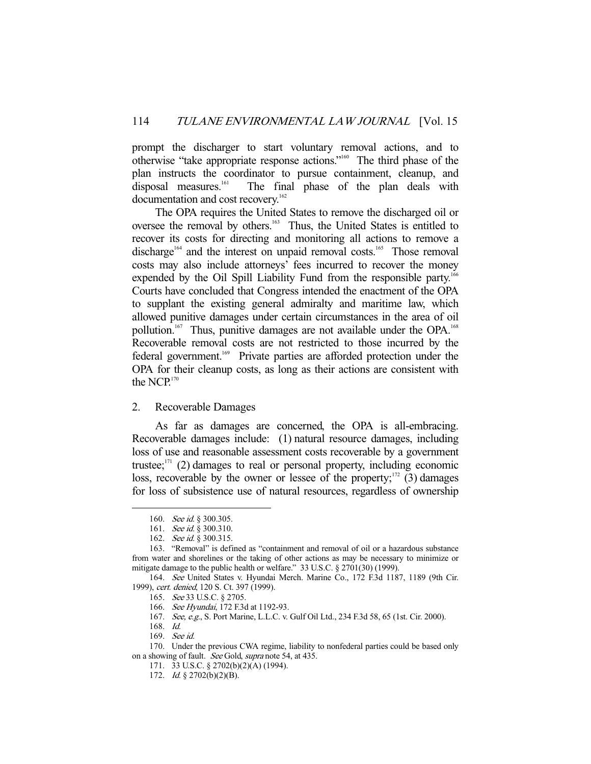prompt the discharger to start voluntary removal actions, and to otherwise "take appropriate response actions."160 The third phase of the plan instructs the coordinator to pursue containment, cleanup, and disposal measures.<sup>161</sup> The final phase of the plan deals with The final phase of the plan deals with documentation and cost recovery.<sup>162</sup>

 The OPA requires the United States to remove the discharged oil or oversee the removal by others.<sup>163</sup> Thus, the United States is entitled to recover its costs for directing and monitoring all actions to remove a discharge<sup>164</sup> and the interest on unpaid removal costs.<sup>165</sup> Those removal costs may also include attorneys' fees incurred to recover the money expended by the Oil Spill Liability Fund from the responsible party.<sup>166</sup> Courts have concluded that Congress intended the enactment of the OPA to supplant the existing general admiralty and maritime law, which allowed punitive damages under certain circumstances in the area of oil pollution.<sup>167</sup> Thus, punitive damages are not available under the OPA.<sup>168</sup> Recoverable removal costs are not restricted to those incurred by the federal government.<sup>169</sup> Private parties are afforded protection under the OPA for their cleanup costs, as long as their actions are consistent with the  $NCP$ <sup>170</sup>

#### 2. Recoverable Damages

 As far as damages are concerned, the OPA is all-embracing. Recoverable damages include: (1) natural resource damages, including loss of use and reasonable assessment costs recoverable by a government trustee; $171$  (2) damages to real or personal property, including economic loss, recoverable by the owner or lessee of the property; $1/2$  (3) damages for loss of subsistence use of natural resources, regardless of ownership

<sup>160.</sup> See id. § 300.305.

<sup>161.</sup> See id. § 300.310.

<sup>162.</sup> See id. § 300.315.

 <sup>163. &</sup>quot;Removal" is defined as "containment and removal of oil or a hazardous substance from water and shorelines or the taking of other actions as may be necessary to minimize or mitigate damage to the public health or welfare." 33 U.S.C. § 2701(30) (1999).

 <sup>164.</sup> See United States v. Hyundai Merch. Marine Co., 172 F.3d 1187, 1189 (9th Cir. 1999), cert. denied, 120 S. Ct. 397 (1999).

 <sup>165.</sup> See 33 U.S.C. § 2705.

 <sup>166.</sup> See Hyundai, 172 F.3d at 1192-93.

 <sup>167.</sup> See, e.g., S. Port Marine, L.L.C. v. Gulf Oil Ltd., 234 F.3d 58, 65 (1st. Cir. 2000).

 <sup>168.</sup> Id.

 <sup>169.</sup> See id.

 <sup>170.</sup> Under the previous CWA regime, liability to nonfederal parties could be based only on a showing of fault. See Gold, supra note 54, at 435.

 <sup>171. 33</sup> U.S.C. § 2702(b)(2)(A) (1994).

<sup>172.</sup> *Id.* § 2702(b)(2)(B).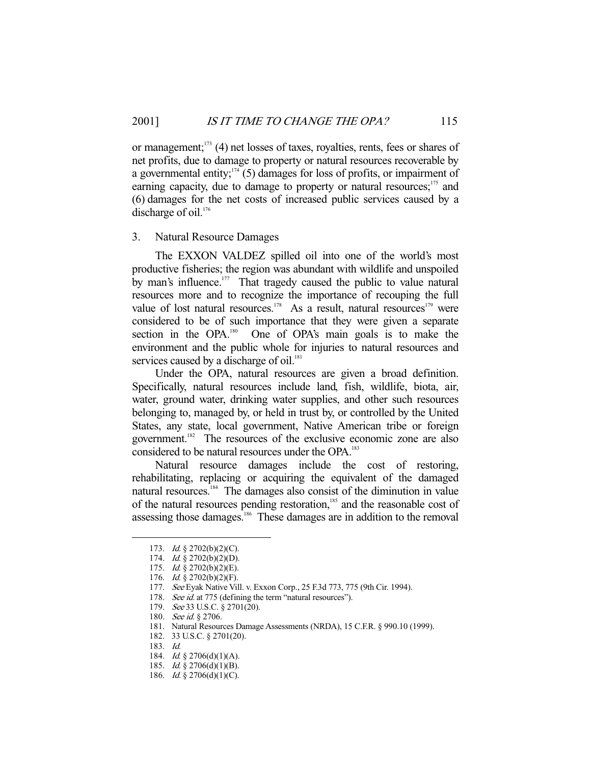or management; $173$  (4) net losses of taxes, royalties, rents, fees or shares of net profits, due to damage to property or natural resources recoverable by a governmental entity; $174$  (5) damages for loss of profits, or impairment of earning capacity, due to damage to property or natural resources;<sup>175</sup> and (6) damages for the net costs of increased public services caused by a discharge of oil.<sup>176</sup>

## 3. Natural Resource Damages

 The EXXON VALDEZ spilled oil into one of the world's most productive fisheries; the region was abundant with wildlife and unspoiled by man's influence.<sup>177</sup> That tragedy caused the public to value natural resources more and to recognize the importance of recouping the full value of lost natural resources.<sup>178</sup> As a result, natural resources<sup>179</sup> were considered to be of such importance that they were given a separate section in the OPA.<sup>180</sup> One of OPA's main goals is to make the One of OPA's main goals is to make the environment and the public whole for injuries to natural resources and services caused by a discharge of oil.<sup>181</sup>

 Under the OPA, natural resources are given a broad definition. Specifically, natural resources include land, fish, wildlife, biota, air, water, ground water, drinking water supplies, and other such resources belonging to, managed by, or held in trust by, or controlled by the United States, any state, local government, Native American tribe or foreign government.<sup>182</sup> The resources of the exclusive economic zone are also considered to be natural resources under the OPA.<sup>183</sup>

 Natural resource damages include the cost of restoring, rehabilitating, replacing or acquiring the equivalent of the damaged natural resources.184 The damages also consist of the diminution in value of the natural resources pending restoration,<sup>185</sup> and the reasonable cost of assessing those damages.<sup>186</sup> These damages are in addition to the removal

 <sup>173.</sup> Id. § 2702(b)(2)(C).

 <sup>174.</sup> Id. § 2702(b)(2)(D).

 <sup>175.</sup> Id. § 2702(b)(2)(E).

<sup>176.</sup> *Id.* § 2702(b)(2)(F).

 <sup>177.</sup> See Eyak Native Vill. v. Exxon Corp., 25 F.3d 773, 775 (9th Cir. 1994).

<sup>178.</sup> See id. at 775 (defining the term "natural resources").

 <sup>179.</sup> See 33 U.S.C. § 2701(20).

<sup>180.</sup> See id. § 2706.

 <sup>181.</sup> Natural Resources Damage Assessments (NRDA), 15 C.F.R. § 990.10 (1999).

 <sup>182. 33</sup> U.S.C. § 2701(20).

 <sup>183.</sup> Id.

 <sup>184.</sup> Id. § 2706(d)(1)(A).

<sup>185.</sup> *Id.* § 2706(d)(1)(B).

<sup>186.</sup> *Id.* § 2706(d)(1)(C).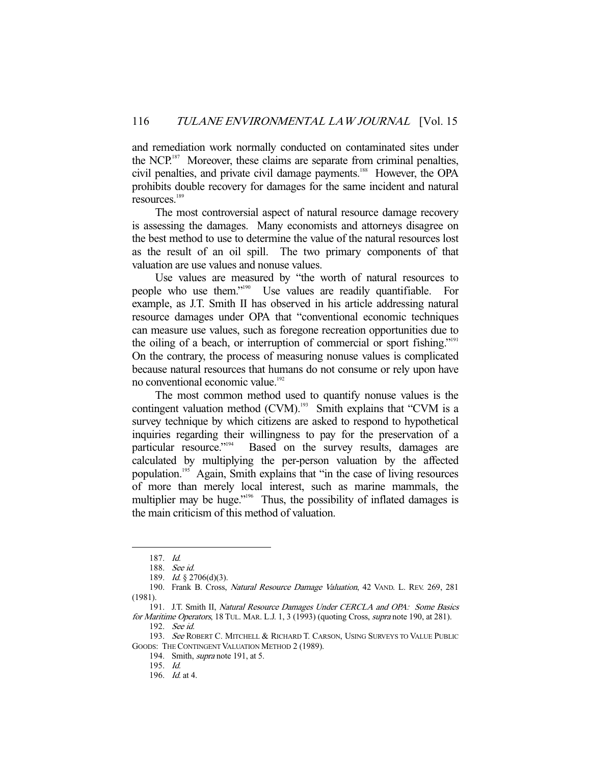and remediation work normally conducted on contaminated sites under the NCP.<sup>187</sup> Moreover, these claims are separate from criminal penalties, civil penalties, and private civil damage payments.<sup>188</sup> However, the OPA prohibits double recovery for damages for the same incident and natural resources.189

 The most controversial aspect of natural resource damage recovery is assessing the damages. Many economists and attorneys disagree on the best method to use to determine the value of the natural resources lost as the result of an oil spill. The two primary components of that valuation are use values and nonuse values.

 Use values are measured by "the worth of natural resources to people who use them."190 Use values are readily quantifiable. For example, as J.T. Smith II has observed in his article addressing natural resource damages under OPA that "conventional economic techniques can measure use values, such as foregone recreation opportunities due to the oiling of a beach, or interruption of commercial or sport fishing."<sup>191</sup> On the contrary, the process of measuring nonuse values is complicated because natural resources that humans do not consume or rely upon have no conventional economic value.<sup>192</sup>

 The most common method used to quantify nonuse values is the contingent valuation method  $(CVM)$ .<sup>193</sup> Smith explains that "CVM is a survey technique by which citizens are asked to respond to hypothetical inquiries regarding their willingness to pay for the preservation of a particular resource."<sup>194</sup> Based on the survey results, damages are Based on the survey results, damages are calculated by multiplying the per-person valuation by the affected population.195 Again, Smith explains that "in the case of living resources of more than merely local interest, such as marine mammals, the multiplier may be huge."<sup>196</sup> Thus, the possibility of inflated damages is the main criticism of this method of valuation.

 <sup>187.</sup> Id.

 <sup>188.</sup> See id.

 <sup>189.</sup> Id. § 2706(d)(3).

<sup>190.</sup> Frank B. Cross, Natural Resource Damage Valuation, 42 VAND. L. REV. 269, 281 (1981).

<sup>191.</sup> J.T. Smith II, Natural Resource Damages Under CERCLA and OPA: Some Basics for Maritime Operators, 18 TUL. MAR. L.J. 1, 3 (1993) (quoting Cross, *supra* note 190, at 281).

 <sup>192.</sup> See id.

<sup>193.</sup> See ROBERT C. MITCHELL & RICHARD T. CARSON, USING SURVEYS TO VALUE PUBLIC GOODS: THE CONTINGENT VALUATION METHOD 2 (1989).

 <sup>194.</sup> Smith, supra note 191, at 5.

 <sup>195.</sup> Id.

 <sup>196.</sup> Id. at 4.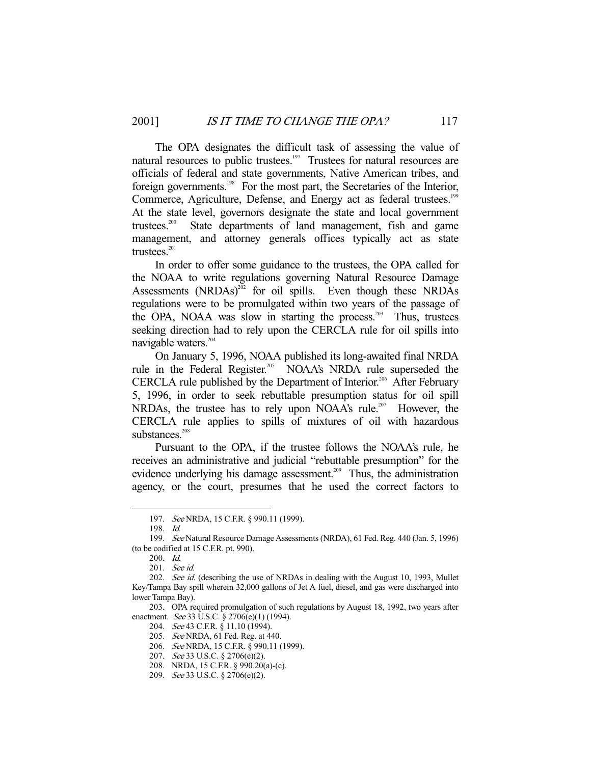The OPA designates the difficult task of assessing the value of natural resources to public trustees.<sup>197</sup> Trustees for natural resources are officials of federal and state governments, Native American tribes, and foreign governments.<sup>198</sup> For the most part, the Secretaries of the Interior, Commerce, Agriculture, Defense, and Energy act as federal trustees.<sup>199</sup> At the state level, governors designate the state and local government trustees.200 State departments of land management, fish and game management, and attorney generals offices typically act as state trustees. $201$ 

 In order to offer some guidance to the trustees, the OPA called for the NOAA to write regulations governing Natural Resource Damage Assessments  $(NRDAs)^{202}$  for oil spills. Even though these NRDAs regulations were to be promulgated within two years of the passage of the OPA, NOAA was slow in starting the process.<sup>203</sup> Thus, trustees seeking direction had to rely upon the CERCLA rule for oil spills into navigable waters.<sup>204</sup>

 On January 5, 1996, NOAA published its long-awaited final NRDA rule in the Federal Register.<sup>205</sup> NOAA's NRDA rule superseded the CERCLA rule published by the Department of Interior.<sup>206</sup> After February 5, 1996, in order to seek rebuttable presumption status for oil spill NRDAs, the trustee has to rely upon NOAA's rule.<sup>207</sup> However, the CERCLA rule applies to spills of mixtures of oil with hazardous substances.<sup>208</sup>

 Pursuant to the OPA, if the trustee follows the NOAA's rule, he receives an administrative and judicial "rebuttable presumption" for the evidence underlying his damage assessment.<sup>209</sup> Thus, the administration agency, or the court, presumes that he used the correct factors to

-

 203. OPA required promulgation of such regulations by August 18, 1992, two years after enactment. See 33 U.S.C. § 2706(e)(1) (1994).

205. See NRDA, 61 Fed. Reg. at 440.

<sup>197.</sup> See NRDA, 15 C.F.R. § 990.11 (1999).

 <sup>198.</sup> Id.

 <sup>199.</sup> See Natural Resource Damage Assessments (NRDA), 61 Fed. Reg. 440 (Jan. 5, 1996) (to be codified at 15 C.F.R. pt. 990).

 <sup>200.</sup> Id.

 <sup>201.</sup> See id.

<sup>202.</sup> See id. (describing the use of NRDAs in dealing with the August 10, 1993, Mullet Key/Tampa Bay spill wherein 32,000 gallons of Jet A fuel, diesel, and gas were discharged into lower Tampa Bay).

<sup>204.</sup> See 43 C.F.R. § 11.10 (1994).

 <sup>206.</sup> See NRDA, 15 C.F.R. § 990.11 (1999).

 <sup>207.</sup> See 33 U.S.C. § 2706(e)(2).

 <sup>208.</sup> NRDA, 15 C.F.R. § 990.20(a)-(c).

 <sup>209.</sup> See 33 U.S.C. § 2706(e)(2).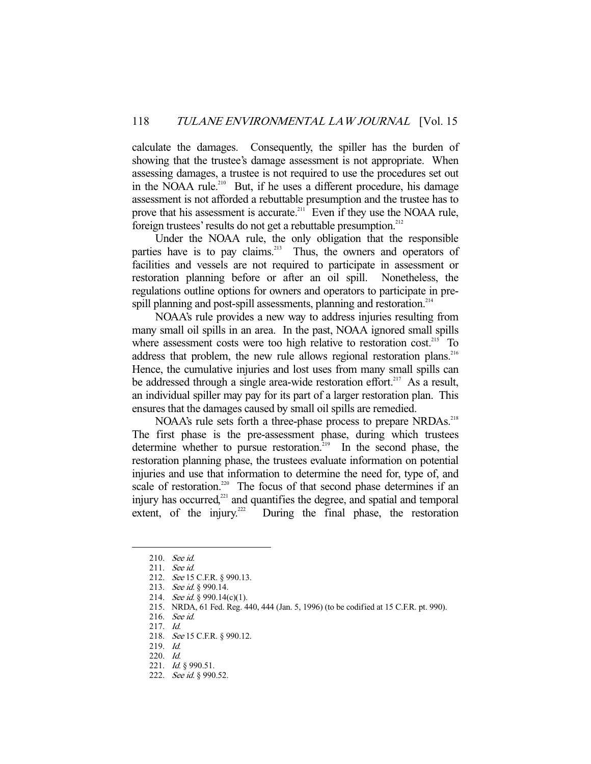calculate the damages. Consequently, the spiller has the burden of showing that the trustee's damage assessment is not appropriate. When assessing damages, a trustee is not required to use the procedures set out in the NOAA rule.<sup>210</sup> But, if he uses a different procedure, his damage assessment is not afforded a rebuttable presumption and the trustee has to prove that his assessment is accurate.<sup>211</sup> Even if they use the NOAA rule, foreign trustees' results do not get a rebuttable presumption.<sup>212</sup>

 Under the NOAA rule, the only obligation that the responsible parties have is to pay claims.<sup>213</sup> Thus, the owners and operators of facilities and vessels are not required to participate in assessment or restoration planning before or after an oil spill. Nonetheless, the regulations outline options for owners and operators to participate in prespill planning and post-spill assessments, planning and restoration.<sup>214</sup>

 NOAA's rule provides a new way to address injuries resulting from many small oil spills in an area. In the past, NOAA ignored small spills where assessment costs were too high relative to restoration cost.<sup>215</sup> To address that problem, the new rule allows regional restoration plans.<sup>216</sup> Hence, the cumulative injuries and lost uses from many small spills can be addressed through a single area-wide restoration effort.<sup>217</sup> As a result, an individual spiller may pay for its part of a larger restoration plan. This ensures that the damages caused by small oil spills are remedied.

NOAA's rule sets forth a three-phase process to prepare NRDAs.<sup>218</sup> The first phase is the pre-assessment phase, during which trustees determine whether to pursue restoration.<sup>219</sup> In the second phase, the restoration planning phase, the trustees evaluate information on potential injuries and use that information to determine the need for, type of, and scale of restoration.<sup>220</sup> The focus of that second phase determines if an injury has occurred,<sup>221</sup> and quantifies the degree, and spatial and temporal extent, of the injury.<sup>222</sup> During the final phase, the restoration

 <sup>210.</sup> See id.

 <sup>211.</sup> See id.

 <sup>212.</sup> See 15 C.F.R. § 990.13.

<sup>213.</sup> See id. § 990.14.

<sup>214.</sup> See id. § 990.14(c)(1).

 <sup>215.</sup> NRDA, 61 Fed. Reg. 440, 444 (Jan. 5, 1996) (to be codified at 15 C.F.R. pt. 990).

 <sup>216.</sup> See id.

 <sup>217.</sup> Id.

 <sup>218.</sup> See 15 C.F.R. § 990.12.

 <sup>219.</sup> Id.

 <sup>220.</sup> Id.

 <sup>221.</sup> Id. § 990.51.

<sup>222.</sup> See id. § 990.52.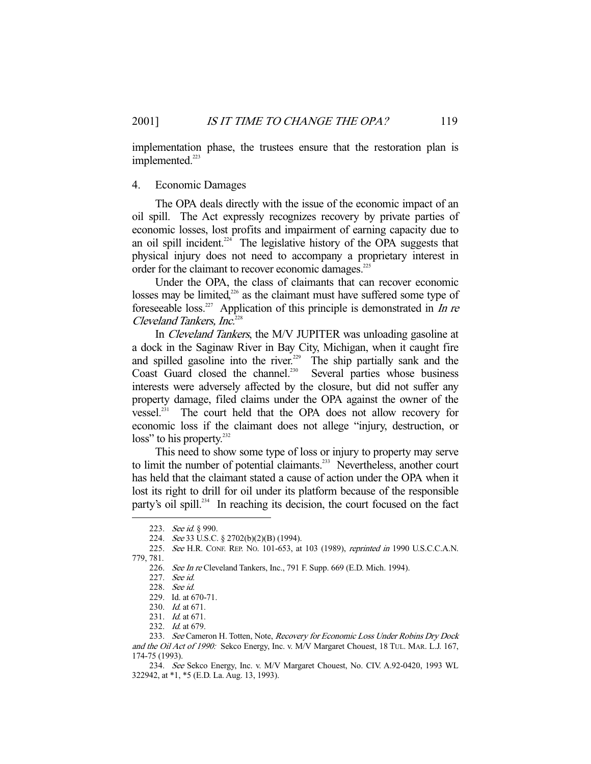implementation phase, the trustees ensure that the restoration plan is implemented.<sup>223</sup>

## 4. Economic Damages

 The OPA deals directly with the issue of the economic impact of an oil spill. The Act expressly recognizes recovery by private parties of economic losses, lost profits and impairment of earning capacity due to an oil spill incident.<sup>224</sup> The legislative history of the OPA suggests that physical injury does not need to accompany a proprietary interest in order for the claimant to recover economic damages.<sup>225</sup>

 Under the OPA, the class of claimants that can recover economic losses may be limited,<sup>226</sup> as the claimant must have suffered some type of foreseeable loss.<sup>227</sup> Application of this principle is demonstrated in *In re* Cleveland Tankers, Inc.<sup>228</sup>

In *Cleveland Tankers*, the M/V JUPITER was unloading gasoline at a dock in the Saginaw River in Bay City, Michigan, when it caught fire and spilled gasoline into the river.<sup>229</sup> The ship partially sank and the Coast Guard closed the channel.<sup>230</sup> Several parties whose business interests were adversely affected by the closure, but did not suffer any property damage, filed claims under the OPA against the owner of the vessel.<sup>231</sup> The court held that the OPA does not allow recovery for economic loss if the claimant does not allege "injury, destruction, or loss" to his property.<sup>232</sup>

 This need to show some type of loss or injury to property may serve to limit the number of potential claimants.<sup>233</sup> Nevertheless, another court has held that the claimant stated a cause of action under the OPA when it lost its right to drill for oil under its platform because of the responsible party's oil spill.<sup>234</sup> In reaching its decision, the court focused on the fact

<sup>223.</sup> See id. § 990.

<sup>224.</sup> See 33 U.S.C. § 2702(b)(2)(B) (1994).

<sup>225.</sup> See H.R. CONF. REP. No. 101-653, at 103 (1989), reprinted in 1990 U.S.C.C.A.N. 779, 781.

<sup>226.</sup> See In re Cleveland Tankers, Inc., 791 F. Supp. 669 (E.D. Mich. 1994).

 <sup>227.</sup> See id.

 <sup>228.</sup> See id.

 <sup>229.</sup> Id. at 670-71.

 <sup>230.</sup> Id. at 671.

<sup>231.</sup> *Id.* at 671.

<sup>232.</sup> *Id.* at 679.

<sup>233.</sup> See Cameron H. Totten, Note, Recovery for Economic Loss Under Robins Dry Dock and the Oil Act of 1990: Sekco Energy, Inc. v. M/V Margaret Chouest, 18 TUL. MAR. L.J. 167, 174-75 (1993).

 <sup>234.</sup> See Sekco Energy, Inc. v. M/V Margaret Chouest, No. CIV. A.92-0420, 1993 WL 322942, at \*1, \*5 (E.D. La. Aug. 13, 1993).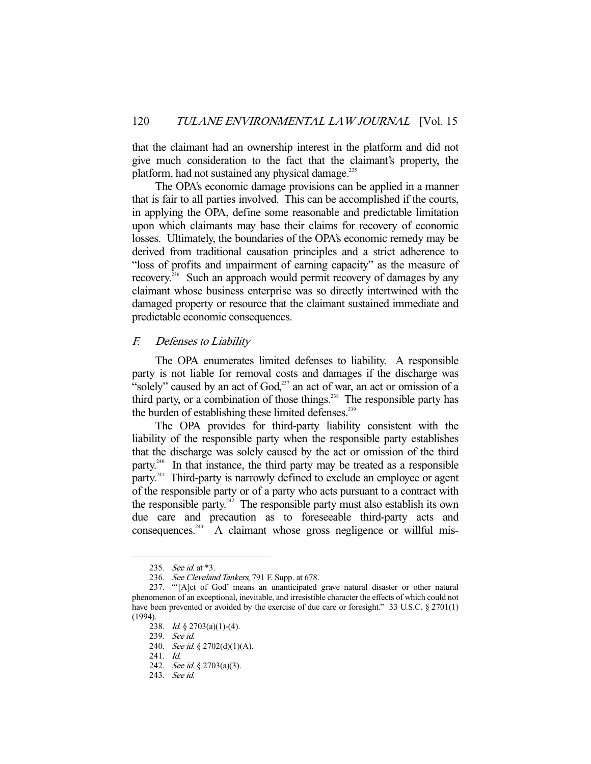that the claimant had an ownership interest in the platform and did not give much consideration to the fact that the claimant's property, the platform, had not sustained any physical damage.<sup>235</sup>

 The OPA's economic damage provisions can be applied in a manner that is fair to all parties involved. This can be accomplished if the courts, in applying the OPA, define some reasonable and predictable limitation upon which claimants may base their claims for recovery of economic losses. Ultimately, the boundaries of the OPA's economic remedy may be derived from traditional causation principles and a strict adherence to "loss of profits and impairment of earning capacity" as the measure of recovery.236 Such an approach would permit recovery of damages by any claimant whose business enterprise was so directly intertwined with the damaged property or resource that the claimant sustained immediate and predictable economic consequences.

## F. Defenses to Liability

 The OPA enumerates limited defenses to liability. A responsible party is not liable for removal costs and damages if the discharge was "solely" caused by an act of God,<sup>237</sup> an act of war, an act or omission of a third party, or a combination of those things.<sup>238</sup> The responsible party has the burden of establishing these limited defenses.<sup>239</sup>

 The OPA provides for third-party liability consistent with the liability of the responsible party when the responsible party establishes that the discharge was solely caused by the act or omission of the third party.<sup>240</sup> In that instance, the third party may be treated as a responsible party.<sup>241</sup> Third-party is narrowly defined to exclude an employee or agent of the responsible party or of a party who acts pursuant to a contract with the responsible party.<sup>242</sup> The responsible party must also establish its own due care and precaution as to foreseeable third-party acts and consequences.<sup>243</sup> A claimant whose gross negligence or willful mis-

 <sup>235.</sup> See id. at \*3.

 <sup>236.</sup> See Cleveland Tankers, 791 F. Supp. at 678.

 <sup>237. &</sup>quot;'[A]ct of God' means an unanticipated grave natural disaster or other natural phenomenon of an exceptional, inevitable, and irresistible character the effects of which could not have been prevented or avoided by the exercise of due care or foresight." 33 U.S.C. § 2701(1) (1994).

 <sup>238.</sup> Id. § 2703(a)(1)-(4).

 <sup>239.</sup> See id.

<sup>240.</sup> See id. § 2702(d)(1)(A).

 <sup>241.</sup> Id.

<sup>242.</sup> See id. § 2703(a)(3).

 <sup>243.</sup> See id.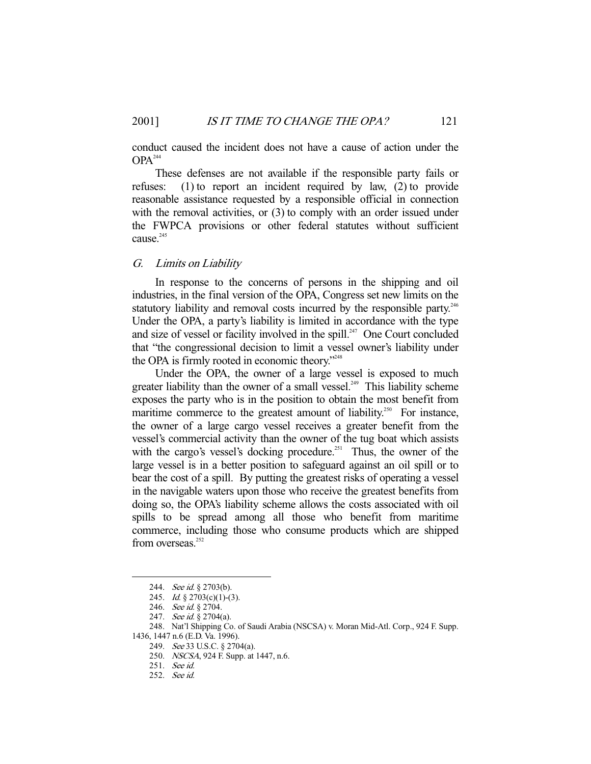conduct caused the incident does not have a cause of action under the  $OPA<sup>244</sup>$ 

 These defenses are not available if the responsible party fails or refuses: (1) to report an incident required by law, (2) to provide reasonable assistance requested by a responsible official in connection with the removal activities, or  $(3)$  to comply with an order issued under the FWPCA provisions or other federal statutes without sufficient cause.<sup>245</sup>

## G. Limits on Liability

 In response to the concerns of persons in the shipping and oil industries, in the final version of the OPA, Congress set new limits on the statutory liability and removal costs incurred by the responsible party.<sup>246</sup> Under the OPA, a party's liability is limited in accordance with the type and size of vessel or facility involved in the spill.<sup>247</sup> One Court concluded that "the congressional decision to limit a vessel owner's liability under the OPA is firmly rooted in economic theory."<sup>248</sup>

 Under the OPA, the owner of a large vessel is exposed to much greater liability than the owner of a small vessel.<sup>249</sup> This liability scheme exposes the party who is in the position to obtain the most benefit from maritime commerce to the greatest amount of liability.<sup>250</sup> For instance, the owner of a large cargo vessel receives a greater benefit from the vessel's commercial activity than the owner of the tug boat which assists with the cargo's vessel's docking procedure.<sup>251</sup> Thus, the owner of the large vessel is in a better position to safeguard against an oil spill or to bear the cost of a spill. By putting the greatest risks of operating a vessel in the navigable waters upon those who receive the greatest benefits from doing so, the OPA's liability scheme allows the costs associated with oil spills to be spread among all those who benefit from maritime commerce, including those who consume products which are shipped from overseas.<sup>252</sup>

<sup>244.</sup> See id. § 2703(b).

<sup>245.</sup> *Id.* § 2703(c)(1)-(3).

 <sup>246.</sup> See id. § 2704.

<sup>247.</sup> See id. § 2704(a).

 <sup>248.</sup> Nat'l Shipping Co. of Saudi Arabia (NSCSA) v. Moran Mid-Atl. Corp., 924 F. Supp. 1436, 1447 n.6 (E.D. Va. 1996).

 <sup>249.</sup> See 33 U.S.C. § 2704(a).

 <sup>250.</sup> NSCSA, 924 F. Supp. at 1447, n.6.

 <sup>251.</sup> See id.

 <sup>252.</sup> See id.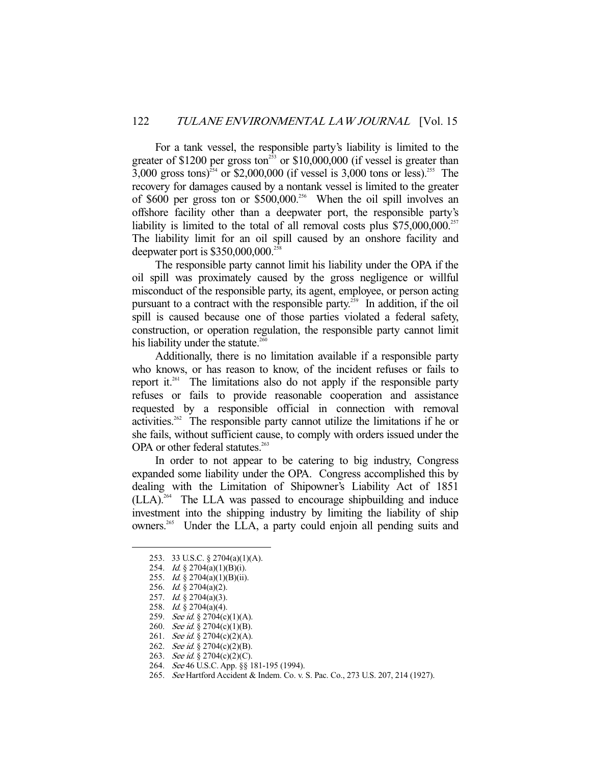For a tank vessel, the responsible party's liability is limited to the greater of  $$1200$  per gross ton<sup>253</sup> or  $$10,000,000$  (if vessel is greater than 3,000 gross tons)<sup>254</sup> or \$2,000,000 (if vessel is 3,000 tons or less).<sup>255</sup> The recovery for damages caused by a nontank vessel is limited to the greater of \$600 per gross ton or \$500,000.<sup>256</sup> When the oil spill involves an offshore facility other than a deepwater port, the responsible party's liability is limited to the total of all removal costs plus  $$75,000,000$ .<sup>257</sup> The liability limit for an oil spill caused by an onshore facility and deepwater port is  $$350,000,000.^{258}$ 

 The responsible party cannot limit his liability under the OPA if the oil spill was proximately caused by the gross negligence or willful misconduct of the responsible party, its agent, employee, or person acting pursuant to a contract with the responsible party.<sup>259</sup> In addition, if the oil spill is caused because one of those parties violated a federal safety, construction, or operation regulation, the responsible party cannot limit his liability under the statute. $260$ 

 Additionally, there is no limitation available if a responsible party who knows, or has reason to know, of the incident refuses or fails to report it.<sup>261</sup> The limitations also do not apply if the responsible party refuses or fails to provide reasonable cooperation and assistance requested by a responsible official in connection with removal activities.<sup>262</sup> The responsible party cannot utilize the limitations if he or she fails, without sufficient cause, to comply with orders issued under the OPA or other federal statutes.<sup>263</sup>

 In order to not appear to be catering to big industry, Congress expanded some liability under the OPA. Congress accomplished this by dealing with the Limitation of Shipowner's Liability Act of 1851  $(LLA).<sup>264</sup>$  The LLA was passed to encourage shipbuilding and induce investment into the shipping industry by limiting the liability of ship owners.<sup>265</sup> Under the LLA, a party could enjoin all pending suits and

 <sup>253. 33</sup> U.S.C. § 2704(a)(1)(A).

 <sup>254.</sup> Id. § 2704(a)(1)(B)(i).

 <sup>255.</sup> Id. § 2704(a)(1)(B)(ii).

 <sup>256.</sup> Id. § 2704(a)(2).

 <sup>257.</sup> Id. § 2704(a)(3).

 <sup>258.</sup> Id. § 2704(a)(4).

<sup>259.</sup> See id. § 2704(c)(1)(A).

<sup>260.</sup> See id. § 2704(c)(1)(B). 261. See id. § 2704(c)(2)(A).

<sup>262.</sup> See id. § 2704(c)(2)(B).

<sup>263.</sup> See id. § 2704(c)(2)(C).

<sup>264.</sup> See 46 U.S.C. App. §§ 181-195 (1994).

 <sup>265.</sup> See Hartford Accident & Indem. Co. v. S. Pac. Co., 273 U.S. 207, 214 (1927).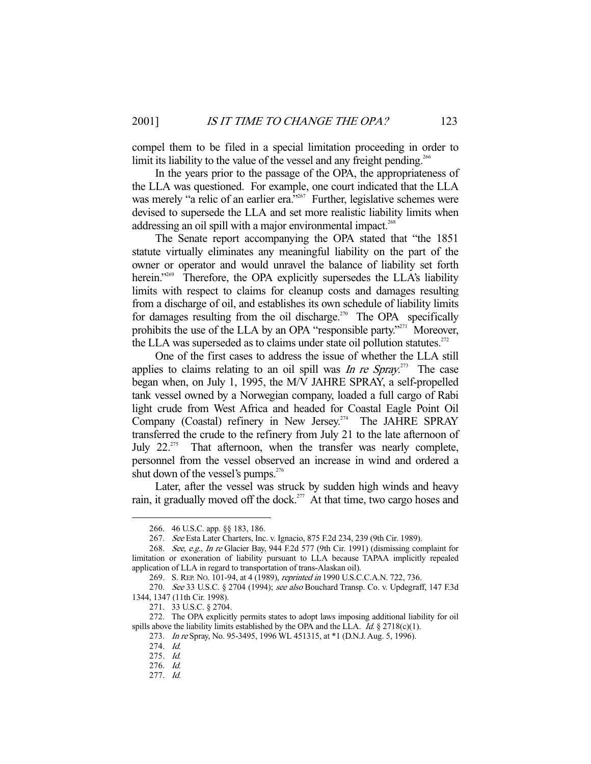compel them to be filed in a special limitation proceeding in order to limit its liability to the value of the vessel and any freight pending.<sup>266</sup>

 In the years prior to the passage of the OPA, the appropriateness of the LLA was questioned. For example, one court indicated that the LLA was merely "a relic of an earlier era."<sup>267</sup> Further, legislative schemes were devised to supersede the LLA and set more realistic liability limits when addressing an oil spill with a major environmental impact.<sup>268</sup>

 The Senate report accompanying the OPA stated that "the 1851 statute virtually eliminates any meaningful liability on the part of the owner or operator and would unravel the balance of liability set forth herein."<sup>269</sup> Therefore, the OPA explicitly supersedes the LLA's liability limits with respect to claims for cleanup costs and damages resulting from a discharge of oil, and establishes its own schedule of liability limits for damages resulting from the oil discharge.<sup>270</sup> The OPA specifically prohibits the use of the LLA by an OPA "responsible party."<sup>271</sup> Moreover, the LLA was superseded as to claims under state oil pollution statutes.<sup> $272$ </sup>

 One of the first cases to address the issue of whether the LLA still applies to claims relating to an oil spill was In re Spray.<sup>273</sup> The case began when, on July 1, 1995, the M/V JAHRE SPRAY, a self-propelled tank vessel owned by a Norwegian company, loaded a full cargo of Rabi light crude from West Africa and headed for Coastal Eagle Point Oil Company (Coastal) refinery in New Jersey.<sup>274</sup> The JAHRE SPRAY transferred the crude to the refinery from July 21 to the late afternoon of July 22.<sup>275</sup> That afternoon, when the transfer was nearly complete, personnel from the vessel observed an increase in wind and ordered a shut down of the vessel's pumps. $276$ 

 Later, after the vessel was struck by sudden high winds and heavy rain, it gradually moved off the dock.<sup>277</sup> At that time, two cargo hoses and

 <sup>266. 46</sup> U.S.C. app. §§ 183, 186.

 <sup>267.</sup> See Esta Later Charters, Inc. v. Ignacio, 875 F.2d 234, 239 (9th Cir. 1989).

 <sup>268.</sup> See, e.g., In re Glacier Bay, 944 F.2d 577 (9th Cir. 1991) (dismissing complaint for limitation or exoneration of liability pursuant to LLA because TAPAA implicitly repealed application of LLA in regard to transportation of trans-Alaskan oil).

 <sup>269.</sup> S. REP. NO. 101-94, at 4 (1989), reprinted in 1990 U.S.C.C.A.N. 722, 736.

<sup>270.</sup> See 33 U.S.C. § 2704 (1994); see also Bouchard Transp. Co. v. Updegraff, 147 F.3d 1344, 1347 (11th Cir. 1998).

 <sup>271. 33</sup> U.S.C. § 2704.

 <sup>272.</sup> The OPA explicitly permits states to adopt laws imposing additional liability for oil spills above the liability limits established by the OPA and the LLA. Id.  $\S 2718(c)(1)$ .

<sup>273.</sup> In re Spray, No. 95-3495, 1996 WL 451315, at \*1 (D.N.J. Aug. 5, 1996).

 <sup>274.</sup> Id.

 <sup>275.</sup> Id.

 <sup>276.</sup> Id.

 <sup>277.</sup> Id.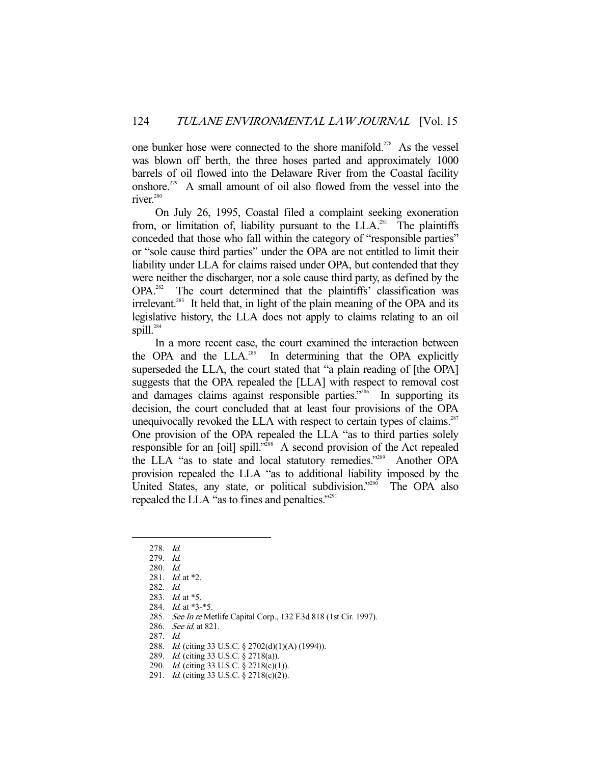one bunker hose were connected to the shore manifold.<sup>278</sup> As the vessel was blown off berth, the three hoses parted and approximately 1000 barrels of oil flowed into the Delaware River from the Coastal facility onshore.279 A small amount of oil also flowed from the vessel into the river.<sup>280</sup>

 On July 26, 1995, Coastal filed a complaint seeking exoneration from, or limitation of, liability pursuant to the  $LLA$ <sup>281</sup>. The plaintiffs conceded that those who fall within the category of "responsible parties" or "sole cause third parties" under the OPA are not entitled to limit their liability under LLA for claims raised under OPA, but contended that they were neither the discharger, nor a sole cause third party, as defined by the OPA.<sup>282</sup> The court determined that the plaintiffs' classification was irrelevant.<sup>283</sup> It held that, in light of the plain meaning of the OPA and its legislative history, the LLA does not apply to claims relating to an oil spill. $^{284}$ 

 In a more recent case, the court examined the interaction between the OPA and the  $LLA$ <sup>285</sup> In determining that the OPA explicitly superseded the LLA, the court stated that "a plain reading of [the OPA] suggests that the OPA repealed the [LLA] with respect to removal cost and damages claims against responsible parties."<sup>286</sup> In supporting its decision, the court concluded that at least four provisions of the OPA unequivocally revoked the LLA with respect to certain types of claims.<sup>287</sup> One provision of the OPA repealed the LLA "as to third parties solely responsible for an [oil] spill."<sup>288</sup> A second provision of the Act repealed the LLA "as to state and local statutory remedies."<sup>289</sup> Another OPA provision repealed the LLA "as to additional liability imposed by the United States, any state, or political subdivision."<sup>290</sup> The OPA also repealed the LLA "as to fines and penalties."<sup>291</sup>

 <sup>278.</sup> Id.

 <sup>279.</sup> Id.

 <sup>280.</sup> Id.

<sup>281.</sup> *Id.* at \*2.

 <sup>282.</sup> Id.

 <sup>283.</sup> Id. at \*5.

<sup>284.</sup> *Id.* at \*3-\*5.

<sup>285.</sup> See In re Metlife Capital Corp., 132 F.3d 818 (1st Cir. 1997).

 <sup>286.</sup> See id. at 821.

 <sup>287.</sup> Id.

 <sup>288.</sup> Id. (citing 33 U.S.C. § 2702(d)(1)(A) (1994)).

 <sup>289.</sup> Id. (citing 33 U.S.C. § 2718(a)).

<sup>290.</sup> *Id.* (citing 33 U.S.C. § 2718(c)(1)).

<sup>291.</sup> *Id.* (citing 33 U.S.C. § 2718(c)(2)).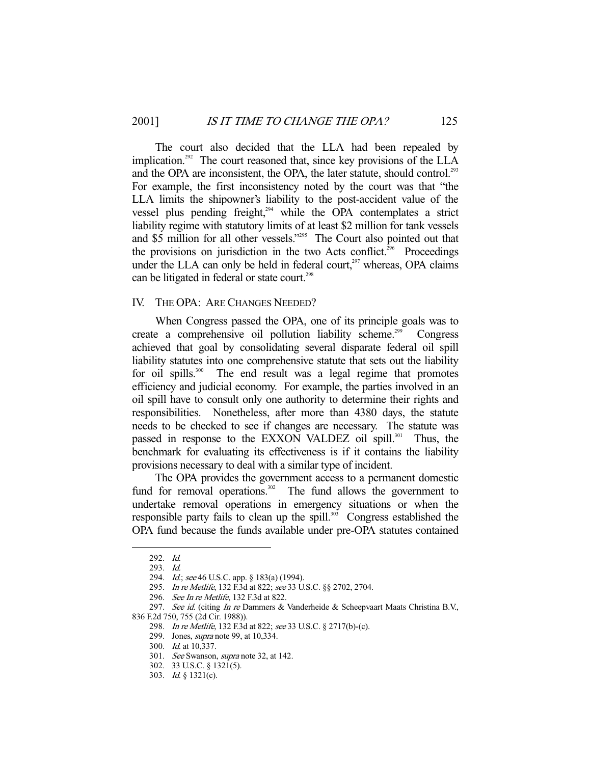The court also decided that the LLA had been repealed by implication.<sup>292</sup> The court reasoned that, since key provisions of the LLA and the OPA are inconsistent, the OPA, the later statute, should control.<sup>293</sup> For example, the first inconsistency noted by the court was that "the LLA limits the shipowner's liability to the post-accident value of the vessel plus pending freight, $294}$  while the OPA contemplates a strict liability regime with statutory limits of at least \$2 million for tank vessels and \$5 million for all other vessels."295 The Court also pointed out that the provisions on jurisdiction in the two Acts conflict.<sup>296</sup> Proceedings under the LLA can only be held in federal court, $297$  whereas, OPA claims can be litigated in federal or state court.<sup>298</sup>

## IV. THE OPA: ARE CHANGES NEEDED?

 When Congress passed the OPA, one of its principle goals was to create a comprehensive oil pollution liability scheme.<sup>299</sup> Congress achieved that goal by consolidating several disparate federal oil spill liability statutes into one comprehensive statute that sets out the liability for oil spills.<sup>300</sup> The end result was a legal regime that promotes efficiency and judicial economy. For example, the parties involved in an oil spill have to consult only one authority to determine their rights and responsibilities. Nonetheless, after more than 4380 days, the statute needs to be checked to see if changes are necessary. The statute was passed in response to the EXXON VALDEZ oil spill.<sup>301</sup> Thus, the benchmark for evaluating its effectiveness is if it contains the liability provisions necessary to deal with a similar type of incident.

 The OPA provides the government access to a permanent domestic fund for removal operations.<sup>302</sup> The fund allows the government to undertake removal operations in emergency situations or when the responsible party fails to clean up the spill.<sup>303</sup> Congress established the OPA fund because the funds available under pre-OPA statutes contained

 <sup>292.</sup> Id.

 <sup>293.</sup> Id.

<sup>294.</sup> *Id.*; see 46 U.S.C. app. § 183(a) (1994).

 <sup>295.</sup> In re Metlife, 132 F.3d at 822; see 33 U.S.C. §§ 2702, 2704.

<sup>296.</sup> See In re Metlife, 132 F.3d at 822.

<sup>297.</sup> See id. (citing In re Dammers & Vanderheide & Scheepvaart Maats Christina B.V., 836 F.2d 750, 755 (2d Cir. 1988)).

 <sup>298.</sup> In re Metlife, 132 F.3d at 822; see 33 U.S.C. § 2717(b)-(c).

<sup>299.</sup> Jones, *supra* note 99, at 10,334.

 <sup>300.</sup> Id. at 10,337.

 <sup>301.</sup> See Swanson, supra note 32, at 142.

 <sup>302. 33</sup> U.S.C. § 1321(5).

 <sup>303.</sup> Id. § 1321(c).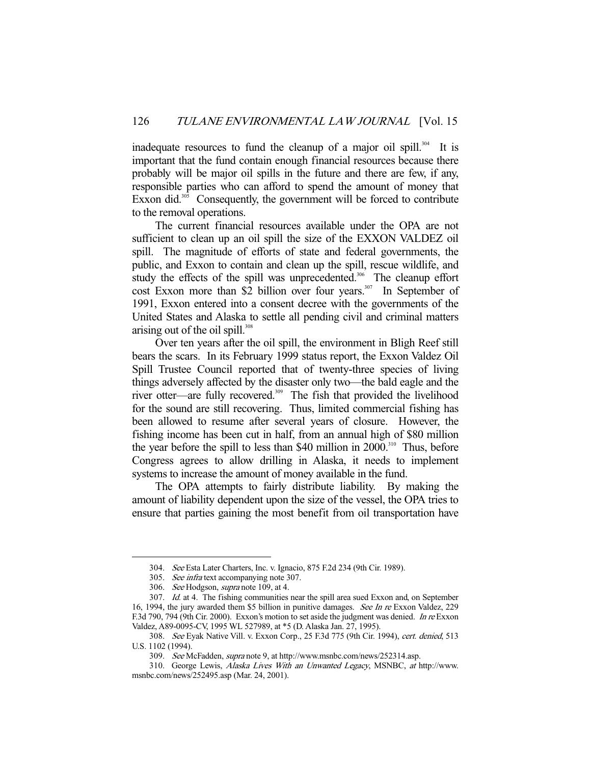inadequate resources to fund the cleanup of a major oil spill.<sup>304</sup> It is important that the fund contain enough financial resources because there probably will be major oil spills in the future and there are few, if any, responsible parties who can afford to spend the amount of money that Exxon did. $305$  Consequently, the government will be forced to contribute to the removal operations.

 The current financial resources available under the OPA are not sufficient to clean up an oil spill the size of the EXXON VALDEZ oil spill. The magnitude of efforts of state and federal governments, the public, and Exxon to contain and clean up the spill, rescue wildlife, and study the effects of the spill was unprecedented.<sup>306</sup> The cleanup effort cost Exxon more than \$2 billion over four years.<sup>307</sup> In September of 1991, Exxon entered into a consent decree with the governments of the United States and Alaska to settle all pending civil and criminal matters arising out of the oil spill. $308$ 

 Over ten years after the oil spill, the environment in Bligh Reef still bears the scars. In its February 1999 status report, the Exxon Valdez Oil Spill Trustee Council reported that of twenty-three species of living things adversely affected by the disaster only two—the bald eagle and the river otter—are fully recovered.<sup>309</sup> The fish that provided the livelihood for the sound are still recovering. Thus, limited commercial fishing has been allowed to resume after several years of closure. However, the fishing income has been cut in half, from an annual high of \$80 million the year before the spill to less than \$40 million in 2000.<sup>310</sup> Thus, before Congress agrees to allow drilling in Alaska, it needs to implement systems to increase the amount of money available in the fund.

 The OPA attempts to fairly distribute liability. By making the amount of liability dependent upon the size of the vessel, the OPA tries to ensure that parties gaining the most benefit from oil transportation have

 <sup>304.</sup> See Esta Later Charters, Inc. v. Ignacio, 875 F.2d 234 (9th Cir. 1989).

<sup>305.</sup> See infra text accompanying note 307.

<sup>306.</sup> See Hodgson, supra note 109, at 4.

 <sup>307.</sup> Id. at 4. The fishing communities near the spill area sued Exxon and, on September 16, 1994, the jury awarded them \$5 billion in punitive damages. See In re Exxon Valdez, 229 F.3d 790, 794 (9th Cir. 2000). Exxon's motion to set aside the judgment was denied. In re Exxon Valdez, A89-0095-CV, 1995 WL 527989, at \*5 (D. Alaska Jan. 27, 1995).

<sup>308.</sup> See Eyak Native Vill. v. Exxon Corp., 25 F.3d 775 (9th Cir. 1994), cert. denied, 513 U.S. 1102 (1994).

 <sup>309.</sup> See McFadden, supra note 9, at http://www.msnbc.com/news/252314.asp.

 <sup>310.</sup> George Lewis, Alaska Lives With an Unwanted Legacy, MSNBC, at http://www. msnbc.com/news/252495.asp (Mar. 24, 2001).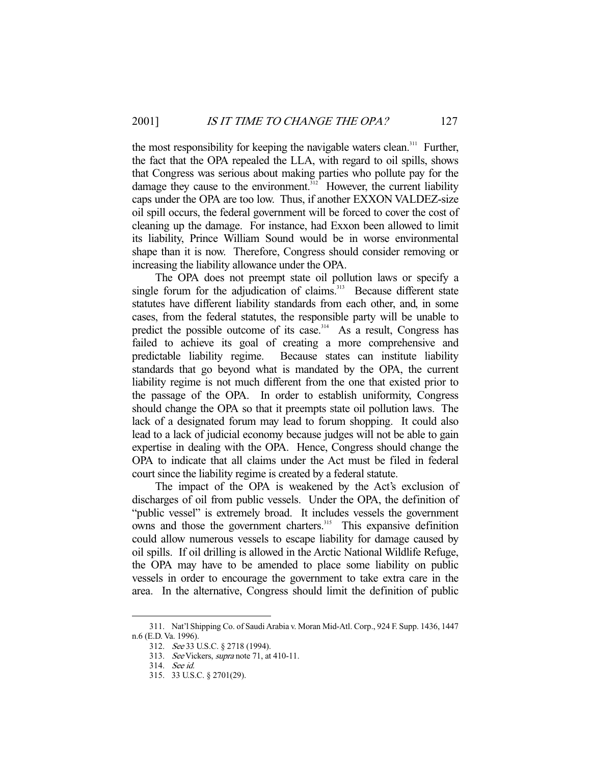the most responsibility for keeping the navigable waters clean.<sup>311</sup> Further, the fact that the OPA repealed the LLA, with regard to oil spills, shows that Congress was serious about making parties who pollute pay for the damage they cause to the environment.<sup>312</sup> However, the current liability caps under the OPA are too low. Thus, if another EXXON VALDEZ-size oil spill occurs, the federal government will be forced to cover the cost of cleaning up the damage. For instance, had Exxon been allowed to limit its liability, Prince William Sound would be in worse environmental shape than it is now. Therefore, Congress should consider removing or increasing the liability allowance under the OPA.

 The OPA does not preempt state oil pollution laws or specify a single forum for the adjudication of claims.<sup>313</sup> Because different state statutes have different liability standards from each other, and, in some cases, from the federal statutes, the responsible party will be unable to predict the possible outcome of its case.<sup>314</sup> As a result, Congress has failed to achieve its goal of creating a more comprehensive and predictable liability regime. Because states can institute liability standards that go beyond what is mandated by the OPA, the current liability regime is not much different from the one that existed prior to the passage of the OPA. In order to establish uniformity, Congress should change the OPA so that it preempts state oil pollution laws. The lack of a designated forum may lead to forum shopping. It could also lead to a lack of judicial economy because judges will not be able to gain expertise in dealing with the OPA. Hence, Congress should change the OPA to indicate that all claims under the Act must be filed in federal court since the liability regime is created by a federal statute.

 The impact of the OPA is weakened by the Act's exclusion of discharges of oil from public vessels. Under the OPA, the definition of "public vessel" is extremely broad. It includes vessels the government owns and those the government charters.<sup>315</sup> This expansive definition could allow numerous vessels to escape liability for damage caused by oil spills. If oil drilling is allowed in the Arctic National Wildlife Refuge, the OPA may have to be amended to place some liability on public vessels in order to encourage the government to take extra care in the area. In the alternative, Congress should limit the definition of public

 <sup>311.</sup> Nat'l Shipping Co. of Saudi Arabia v. Moran Mid-Atl. Corp., 924 F. Supp. 1436, 1447 n.6 (E.D. Va. 1996).

 <sup>312.</sup> See 33 U.S.C. § 2718 (1994).

<sup>313.</sup> See Vickers, supra note 71, at 410-11.

 <sup>314.</sup> See id.

 <sup>315. 33</sup> U.S.C. § 2701(29).